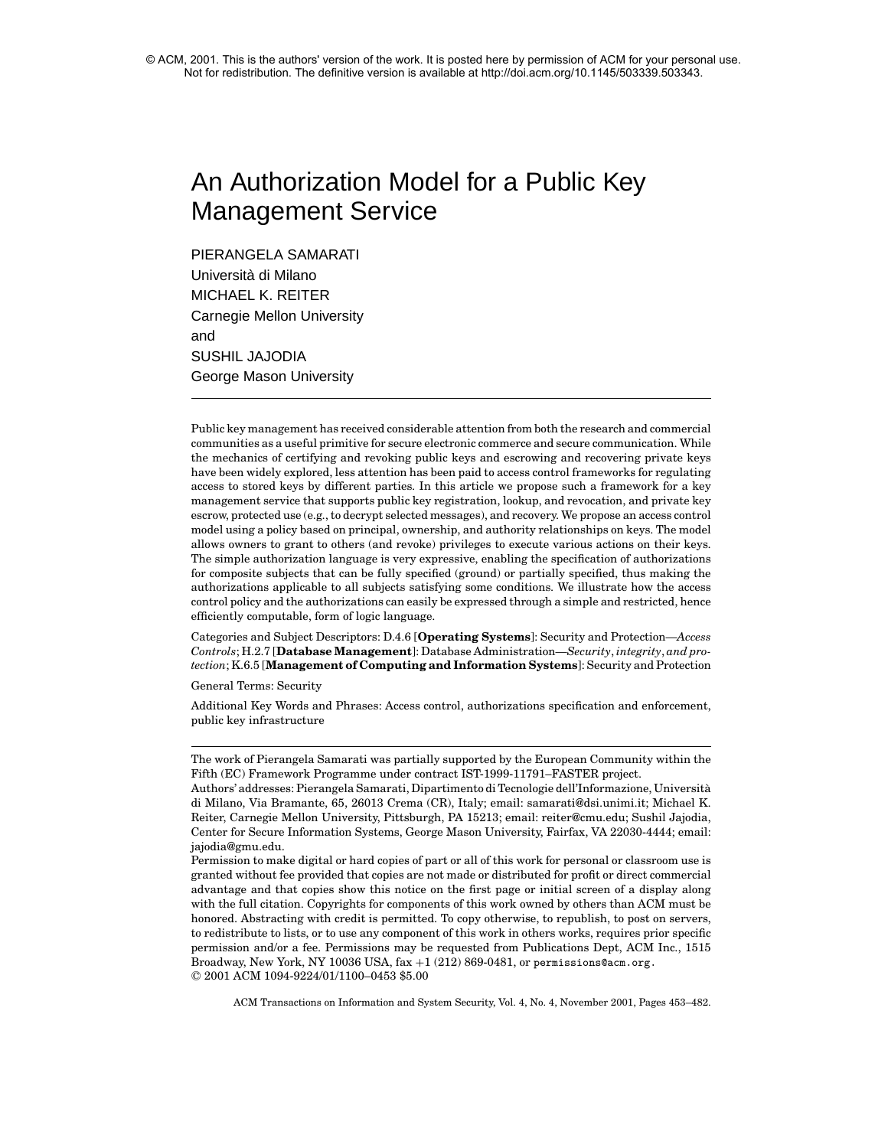# An Authorization Model for a Public Key Management Service

PIERANGELA SAMARATI Università di Milano MICHAEL K. REITER Carnegie Mellon University and SUSHIL JAJODIA George Mason University

Public key management has received considerable attention from both the research and commercial communities as a useful primitive for secure electronic commerce and secure communication. While the mechanics of certifying and revoking public keys and escrowing and recovering private keys have been widely explored, less attention has been paid to access control frameworks for regulating access to stored keys by different parties. In this article we propose such a framework for a key management service that supports public key registration, lookup, and revocation, and private key escrow, protected use (e.g., to decrypt selected messages), and recovery. We propose an access control model using a policy based on principal, ownership, and authority relationships on keys. The model allows owners to grant to others (and revoke) privileges to execute various actions on their keys. The simple authorization language is very expressive, enabling the specification of authorizations for composite subjects that can be fully specified (ground) or partially specified, thus making the authorizations applicable to all subjects satisfying some conditions. We illustrate how the access control policy and the authorizations can easily be expressed through a simple and restricted, hence efficiently computable, form of logic language.

Categories and Subject Descriptors: D.4.6 [**Operating Systems**]: Security and Protection—*Access Controls*; H.2.7 [**Database Management**]: Database Administration—*Security*, *integrity*, *and protection*; K.6.5 [**Management of Computing and Information Systems**]: Security and Protection

General Terms: Security

Additional Key Words and Phrases: Access control, authorizations specification and enforcement, public key infrastructure

The work of Pierangela Samarati was partially supported by the European Community within the Fifth (EC) Framework Programme under contract IST-1999-11791–FASTER project.

Authors' addresses: Pierangela Samarati, Dipartimento di Tecnologie dell'Informazione, Universita` di Milano, Via Bramante, 65, 26013 Crema (CR), Italy; email: samarati@dsi.unimi.it; Michael K. Reiter, Carnegie Mellon University, Pittsburgh, PA 15213; email: reiter@cmu.edu; Sushil Jajodia, Center for Secure Information Systems, George Mason University, Fairfax, VA 22030-4444; email: jajodia@gmu.edu.

Permission to make digital or hard copies of part or all of this work for personal or classroom use is granted without fee provided that copies are not made or distributed for profit or direct commercial advantage and that copies show this notice on the first page or initial screen of a display along with the full citation. Copyrights for components of this work owned by others than ACM must be honored. Abstracting with credit is permitted. To copy otherwise, to republish, to post on servers, to redistribute to lists, or to use any component of this work in others works, requires prior specific permission and/or a fee. Permissions may be requested from Publications Dept, ACM Inc., 1515 Broadway, New York, NY 10036 USA,  $\text{far} +1$  (212) 869-0481, or permissions@acm.org. °<sup>C</sup> 2001 ACM 1094-9224/01/1100–0453 \$5.00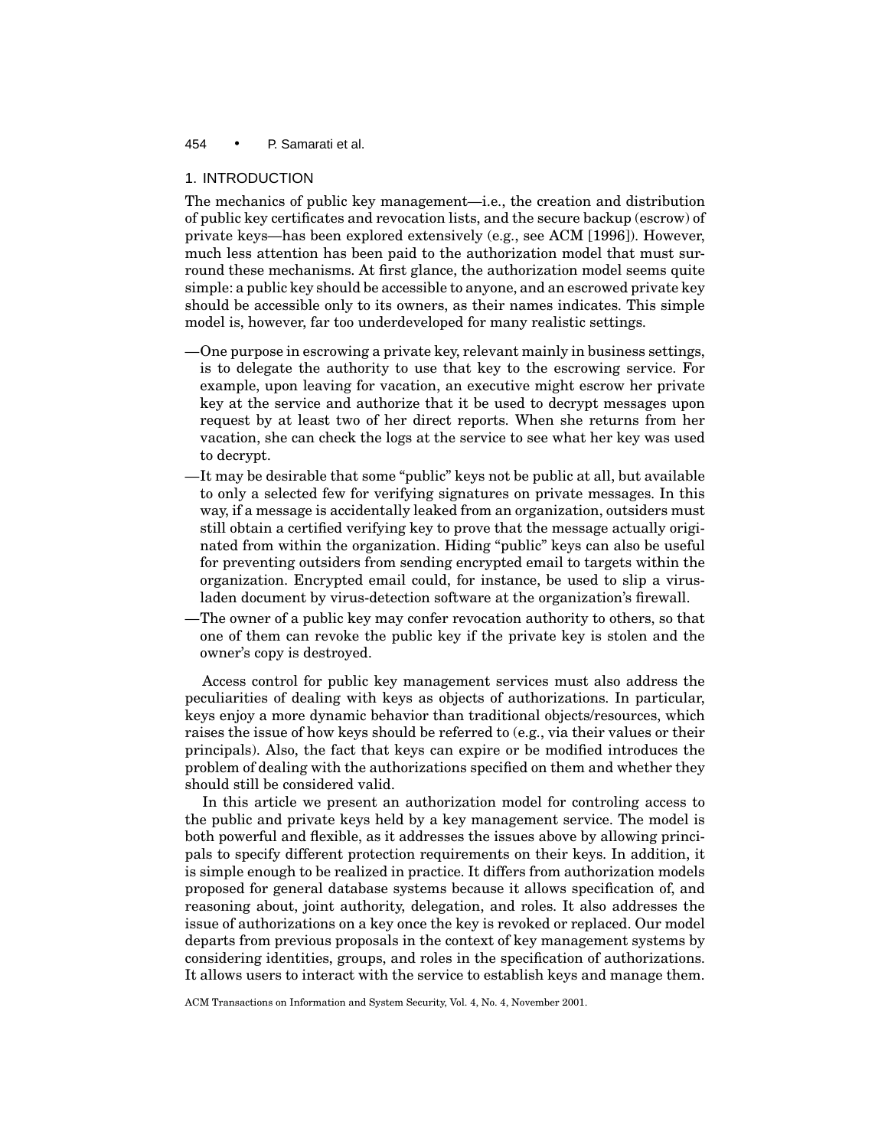## 1. INTRODUCTION

The mechanics of public key management—i.e., the creation and distribution of public key certificates and revocation lists, and the secure backup (escrow) of private keys—has been explored extensively (e.g., see ACM [1996]). However, much less attention has been paid to the authorization model that must surround these mechanisms. At first glance, the authorization model seems quite simple: a public key should be accessible to anyone, and an escrowed private key should be accessible only to its owners, as their names indicates. This simple model is, however, far too underdeveloped for many realistic settings.

- —One purpose in escrowing a private key, relevant mainly in business settings, is to delegate the authority to use that key to the escrowing service. For example, upon leaving for vacation, an executive might escrow her private key at the service and authorize that it be used to decrypt messages upon request by at least two of her direct reports. When she returns from her vacation, she can check the logs at the service to see what her key was used to decrypt.
- —It may be desirable that some "public" keys not be public at all, but available to only a selected few for verifying signatures on private messages. In this way, if a message is accidentally leaked from an organization, outsiders must still obtain a certified verifying key to prove that the message actually originated from within the organization. Hiding "public" keys can also be useful for preventing outsiders from sending encrypted email to targets within the organization. Encrypted email could, for instance, be used to slip a virusladen document by virus-detection software at the organization's firewall.
- —The owner of a public key may confer revocation authority to others, so that one of them can revoke the public key if the private key is stolen and the owner's copy is destroyed.

Access control for public key management services must also address the peculiarities of dealing with keys as objects of authorizations. In particular, keys enjoy a more dynamic behavior than traditional objects/resources, which raises the issue of how keys should be referred to (e.g., via their values or their principals). Also, the fact that keys can expire or be modified introduces the problem of dealing with the authorizations specified on them and whether they should still be considered valid.

In this article we present an authorization model for controling access to the public and private keys held by a key management service. The model is both powerful and flexible, as it addresses the issues above by allowing principals to specify different protection requirements on their keys. In addition, it is simple enough to be realized in practice. It differs from authorization models proposed for general database systems because it allows specification of, and reasoning about, joint authority, delegation, and roles. It also addresses the issue of authorizations on a key once the key is revoked or replaced. Our model departs from previous proposals in the context of key management systems by considering identities, groups, and roles in the specification of authorizations. It allows users to interact with the service to establish keys and manage them.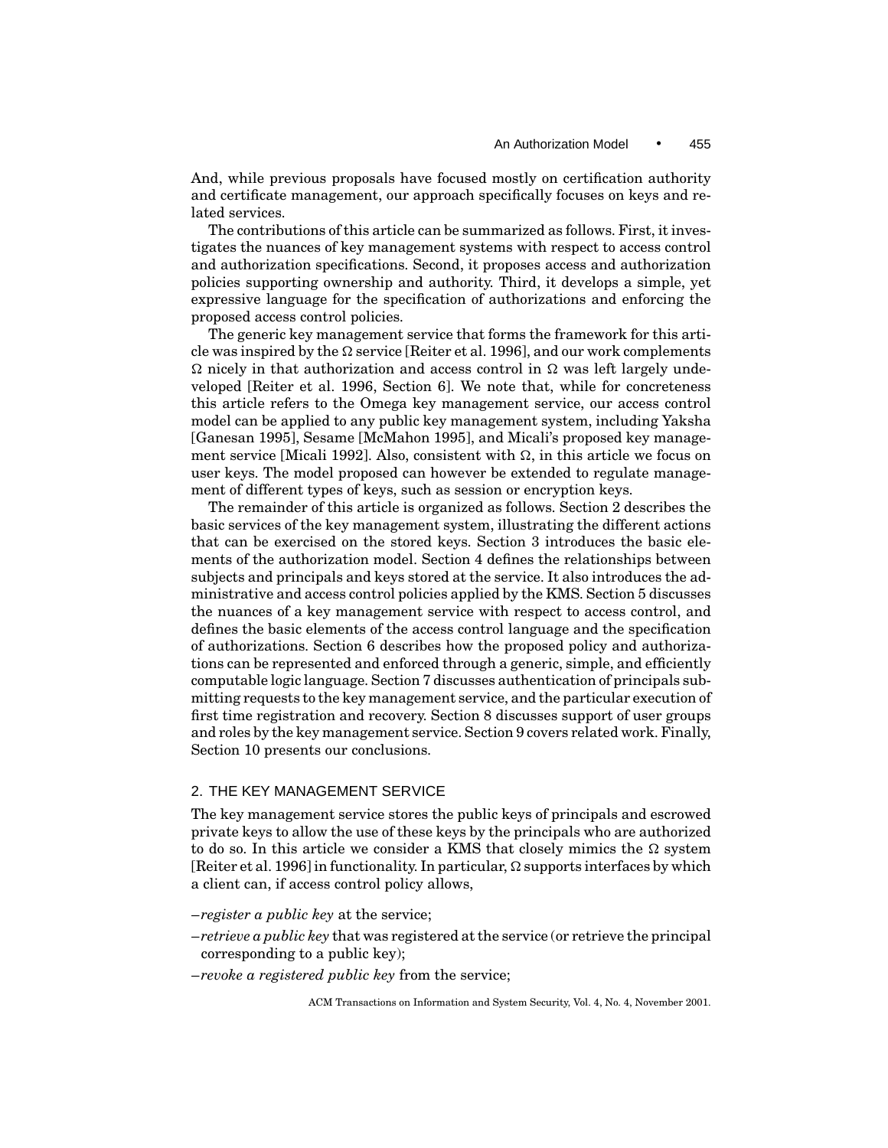And, while previous proposals have focused mostly on certification authority and certificate management, our approach specifically focuses on keys and related services.

The contributions of this article can be summarized as follows. First, it investigates the nuances of key management systems with respect to access control and authorization specifications. Second, it proposes access and authorization policies supporting ownership and authority. Third, it develops a simple, yet expressive language for the specification of authorizations and enforcing the proposed access control policies.

The generic key management service that forms the framework for this article was inspired by the  $\Omega$  service [Reiter et al. 1996], and our work complements  $\Omega$  nicely in that authorization and access control in  $\Omega$  was left largely undeveloped [Reiter et al. 1996, Section 6]. We note that, while for concreteness this article refers to the Omega key management service, our access control model can be applied to any public key management system, including Yaksha [Ganesan 1995], Sesame [McMahon 1995], and Micali's proposed key management service [Micali 1992]. Also, consistent with  $\Omega$ , in this article we focus on user keys. The model proposed can however be extended to regulate management of different types of keys, such as session or encryption keys.

The remainder of this article is organized as follows. Section 2 describes the basic services of the key management system, illustrating the different actions that can be exercised on the stored keys. Section 3 introduces the basic elements of the authorization model. Section 4 defines the relationships between subjects and principals and keys stored at the service. It also introduces the administrative and access control policies applied by the KMS. Section 5 discusses the nuances of a key management service with respect to access control, and defines the basic elements of the access control language and the specification of authorizations. Section 6 describes how the proposed policy and authorizations can be represented and enforced through a generic, simple, and efficiently computable logic language. Section 7 discusses authentication of principals submitting requests to the key management service, and the particular execution of first time registration and recovery. Section 8 discusses support of user groups and roles by the key management service. Section 9 covers related work. Finally, Section 10 presents our conclusions.

## 2. THE KEY MANAGEMENT SERVICE

The key management service stores the public keys of principals and escrowed private keys to allow the use of these keys by the principals who are authorized to do so. In this article we consider a KMS that closely mimics the  $\Omega$  system [Reiter et al. 1996] in functionality. In particular,  $\Omega$  supports interfaces by which a client can, if access control policy allows,

- –*register a public key* at the service;
- –*retrieve a public key* that was registered at the service (or retrieve the principal corresponding to a public key);
- –*revoke a registered public key* from the service;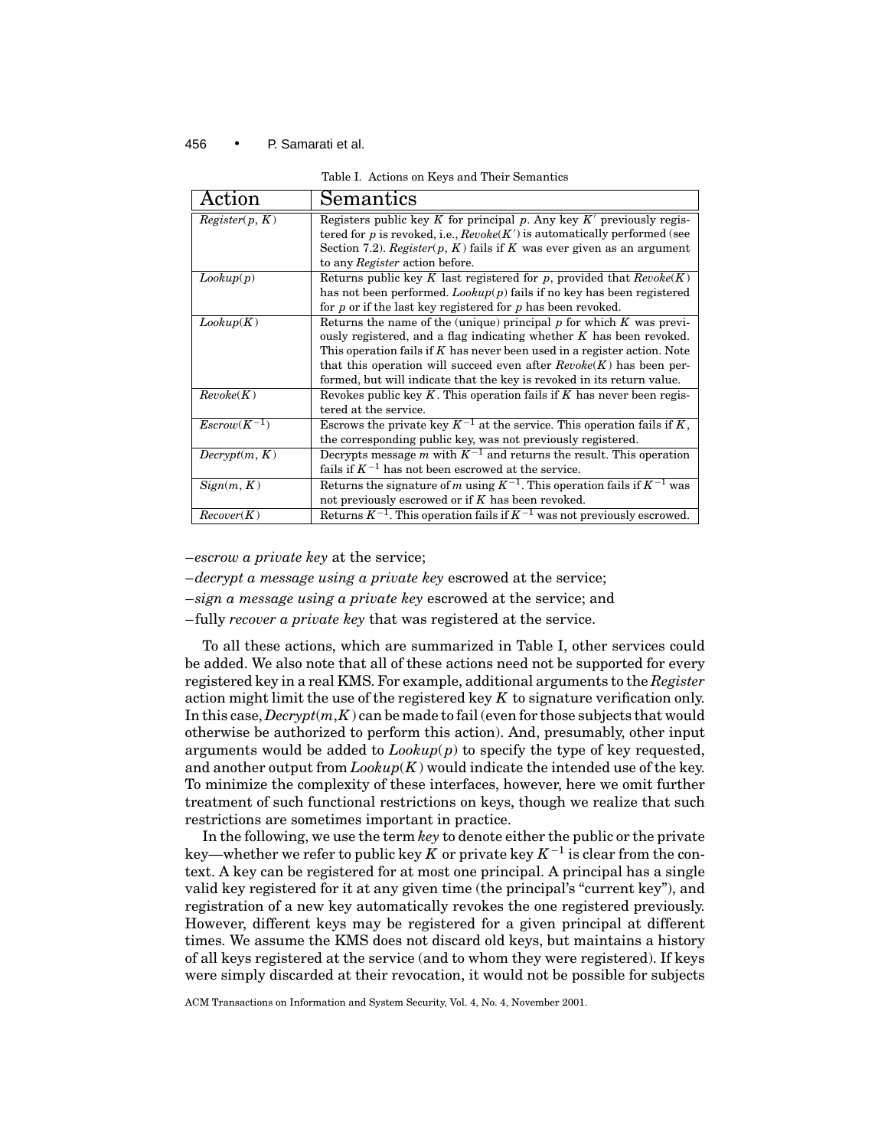| $\rm Action$     | Semantics                                                                                                                                                                                                                                                                                                                                                                         |
|------------------|-----------------------------------------------------------------------------------------------------------------------------------------------------------------------------------------------------------------------------------------------------------------------------------------------------------------------------------------------------------------------------------|
| Register(p, K)   | Registers public key K for principal p. Any key K' previously regis-<br>tered for p is revoked, i.e., $Reveke(K')$ is automatically performed (see<br>Section 7.2). Register(p, K) fails if K was ever given as an argument<br>to any Register action before.                                                                                                                     |
| Lookup(p)        | Returns public key K last registered for p, provided that $Re v \circ k e(K)$<br>has not been performed. $Loop(p)$ fails if no key has been registered<br>for $p$ or if the last key registered for $p$ has been revoked.                                                                                                                                                         |
| Lookup(K)        | Returns the name of the (unique) principal $p$ for which $K$ was previ-<br>ously registered, and a flag indicating whether $K$ has been revoked.<br>This operation fails if $K$ has never been used in a register action. Note<br>that this operation will succeed even after $Revoke(K)$ has been per-<br>formed, but will indicate that the key is revoked in its return value. |
| Reveke(K)        | Revokes public key $K$ . This operation fails if $K$ has never been regis-<br>tered at the service.                                                                                                                                                                                                                                                                               |
| $Escrow(K^{-1})$ | Escrows the private key $K^{-1}$ at the service. This operation fails if K,<br>the corresponding public key, was not previously registered.                                                                                                                                                                                                                                       |
| Decrypt(m, K)    | Decrypts message m with $K^{-1}$ and returns the result. This operation<br>fails if $K^{-1}$ has not been escrowed at the service.                                                                                                                                                                                                                                                |
| Sign(m, K)       | Returns the signature of m using $K^{-1}$ . This operation fails if $K^{-1}$ was<br>not previously escrowed or if $K$ has been revoked.                                                                                                                                                                                                                                           |
| Recover(K)       | Returns $K^{-1}$ . This operation fails if $K^{-1}$ was not previously escrowed.                                                                                                                                                                                                                                                                                                  |

–*escrow a private key* at the service;

–*decrypt a message using a private key* escrowed at the service;

–*sign a message using a private key* escrowed at the service; and

–fully *recover a private key* that was registered at the service.

To all these actions, which are summarized in Table I, other services could be added. We also note that all of these actions need not be supported for every registered key in a real KMS. For example, additional arguments to the *Register* action might limit the use of the registered key *K* to signature verification only. In this case, *Decrypt*(*m*,*K* ) can be made to fail (even for those subjects that would otherwise be authorized to perform this action). And, presumably, other input arguments would be added to  $Loop(p)$  to specify the type of key requested, and another output from  $Loop(K)$  would indicate the intended use of the key. To minimize the complexity of these interfaces, however, here we omit further treatment of such functional restrictions on keys, though we realize that such restrictions are sometimes important in practice.

In the following, we use the term *key* to denote either the public or the private key—whether we refer to public key *K* or private key  $K^{-1}$  is clear from the context. A key can be registered for at most one principal. A principal has a single valid key registered for it at any given time (the principal's "current key"), and registration of a new key automatically revokes the one registered previously. However, different keys may be registered for a given principal at different times. We assume the KMS does not discard old keys, but maintains a history of all keys registered at the service (and to whom they were registered). If keys were simply discarded at their revocation, it would not be possible for subjects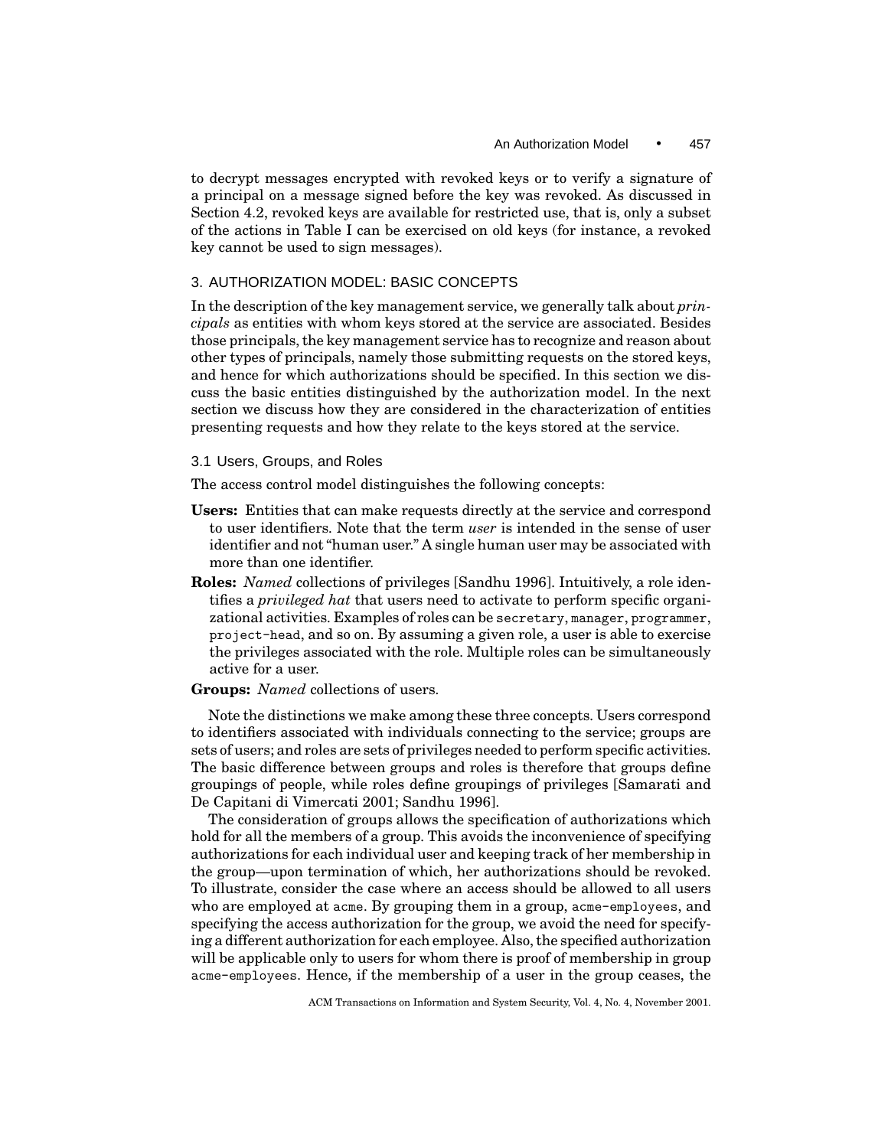to decrypt messages encrypted with revoked keys or to verify a signature of a principal on a message signed before the key was revoked. As discussed in Section 4.2, revoked keys are available for restricted use, that is, only a subset of the actions in Table I can be exercised on old keys (for instance, a revoked key cannot be used to sign messages).

## 3. AUTHORIZATION MODEL: BASIC CONCEPTS

In the description of the key management service, we generally talk about *principals* as entities with whom keys stored at the service are associated. Besides those principals, the key management service has to recognize and reason about other types of principals, namely those submitting requests on the stored keys, and hence for which authorizations should be specified. In this section we discuss the basic entities distinguished by the authorization model. In the next section we discuss how they are considered in the characterization of entities presenting requests and how they relate to the keys stored at the service.

#### 3.1 Users, Groups, and Roles

The access control model distinguishes the following concepts:

- **Users:** Entities that can make requests directly at the service and correspond to user identifiers. Note that the term *user* is intended in the sense of user identifier and not "human user." A single human user may be associated with more than one identifier.
- **Roles:** *Named* collections of privileges [Sandhu 1996]. Intuitively, a role identifies a *privileged hat* that users need to activate to perform specific organizational activities. Examples of roles can be secretary, manager, programmer, project-head, and so on. By assuming a given role, a user is able to exercise the privileges associated with the role. Multiple roles can be simultaneously active for a user.

## **Groups:** *Named* collections of users.

Note the distinctions we make among these three concepts. Users correspond to identifiers associated with individuals connecting to the service; groups are sets of users; and roles are sets of privileges needed to perform specific activities. The basic difference between groups and roles is therefore that groups define groupings of people, while roles define groupings of privileges [Samarati and De Capitani di Vimercati 2001; Sandhu 1996].

The consideration of groups allows the specification of authorizations which hold for all the members of a group. This avoids the inconvenience of specifying authorizations for each individual user and keeping track of her membership in the group—upon termination of which, her authorizations should be revoked. To illustrate, consider the case where an access should be allowed to all users who are employed at acme. By grouping them in a group, acme-employees, and specifying the access authorization for the group, we avoid the need for specifying a different authorization for each employee. Also, the specified authorization will be applicable only to users for whom there is proof of membership in group acme-employees. Hence, if the membership of a user in the group ceases, the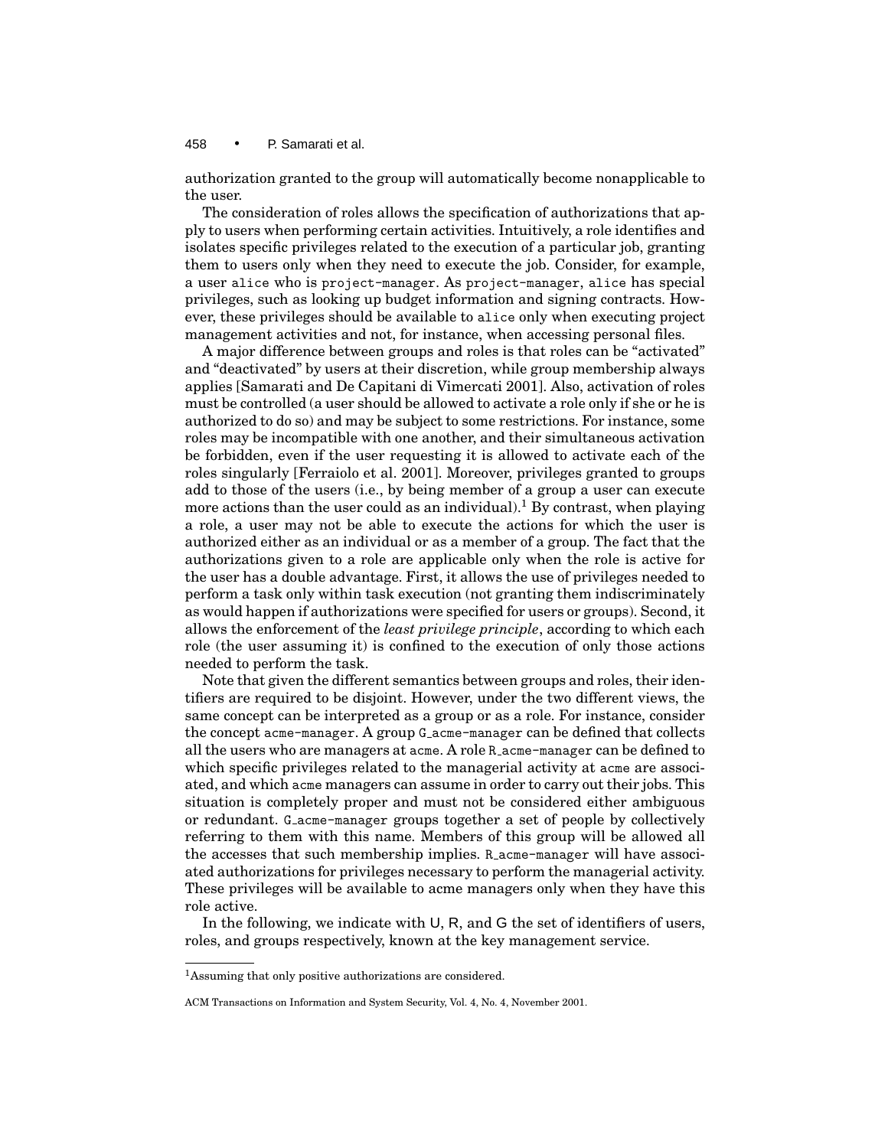authorization granted to the group will automatically become nonapplicable to the user.

The consideration of roles allows the specification of authorizations that apply to users when performing certain activities. Intuitively, a role identifies and isolates specific privileges related to the execution of a particular job, granting them to users only when they need to execute the job. Consider, for example, a user alice who is project-manager. As project-manager, alice has special privileges, such as looking up budget information and signing contracts. However, these privileges should be available to alice only when executing project management activities and not, for instance, when accessing personal files.

A major difference between groups and roles is that roles can be "activated" and "deactivated" by users at their discretion, while group membership always applies [Samarati and De Capitani di Vimercati 2001]. Also, activation of roles must be controlled (a user should be allowed to activate a role only if she or he is authorized to do so) and may be subject to some restrictions. For instance, some roles may be incompatible with one another, and their simultaneous activation be forbidden, even if the user requesting it is allowed to activate each of the roles singularly [Ferraiolo et al. 2001]. Moreover, privileges granted to groups add to those of the users (i.e., by being member of a group a user can execute more actions than the user could as an individual).<sup>1</sup> By contrast, when playing a role, a user may not be able to execute the actions for which the user is authorized either as an individual or as a member of a group. The fact that the authorizations given to a role are applicable only when the role is active for the user has a double advantage. First, it allows the use of privileges needed to perform a task only within task execution (not granting them indiscriminately as would happen if authorizations were specified for users or groups). Second, it allows the enforcement of the *least privilege principle*, according to which each role (the user assuming it) is confined to the execution of only those actions needed to perform the task.

Note that given the different semantics between groups and roles, their identifiers are required to be disjoint. However, under the two different views, the same concept can be interpreted as a group or as a role. For instance, consider the concept acme-manager. A group G acme-manager can be defined that collects all the users who are managers at acme. A role R acme-manager can be defined to which specific privileges related to the managerial activity at acme are associated, and which acme managers can assume in order to carry out their jobs. This situation is completely proper and must not be considered either ambiguous or redundant. G acme-manager groups together a set of people by collectively referring to them with this name. Members of this group will be allowed all the accesses that such membership implies. R acme-manager will have associated authorizations for privileges necessary to perform the managerial activity. These privileges will be available to acme managers only when they have this role active.

In the following, we indicate with U, R, and G the set of identifiers of users, roles, and groups respectively, known at the key management service.

<sup>&</sup>lt;sup>1</sup>Assuming that only positive authorizations are considered.

ACM Transactions on Information and System Security, Vol. 4, No. 4, November 2001.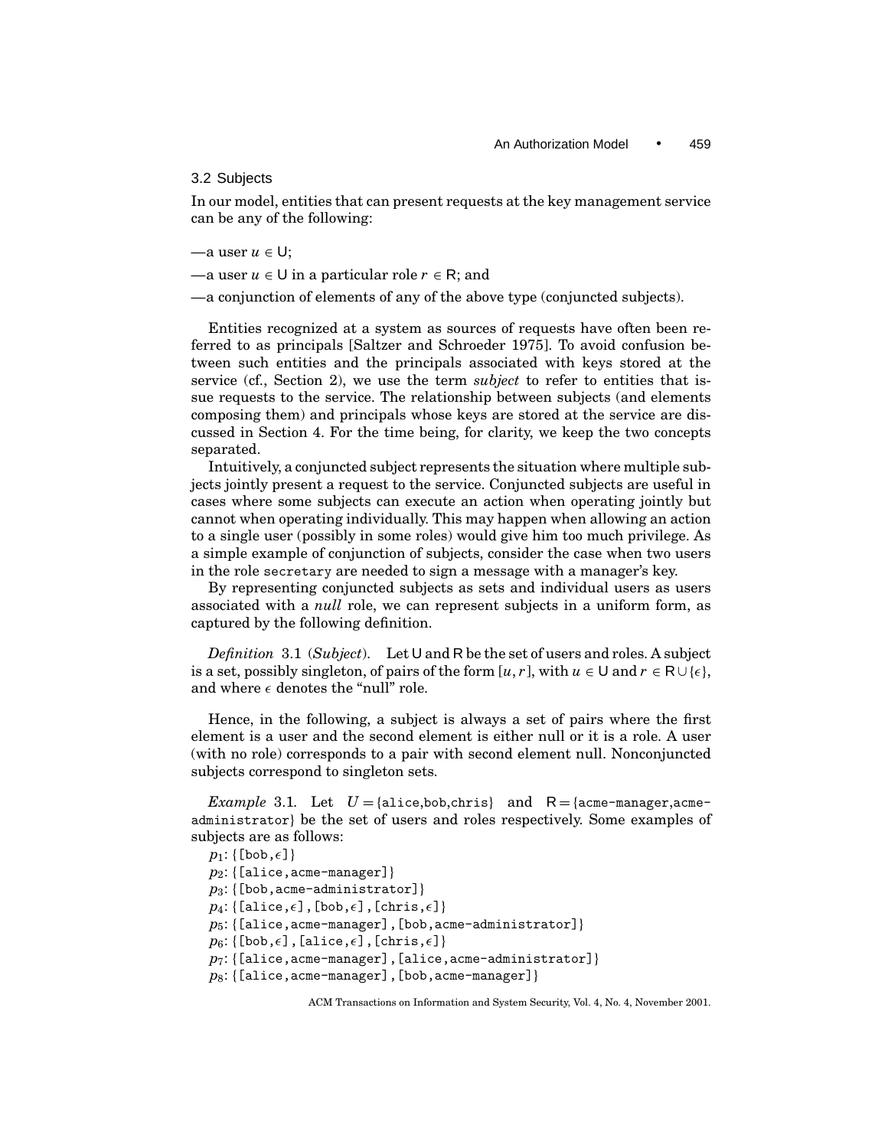## 3.2 Subjects

In our model, entities that can present requests at the key management service can be any of the following:

—a user  $u$  ∈ U;

—a user  $u \in U$  in a particular role  $r \in R$ ; and

—a conjunction of elements of any of the above type (conjuncted subjects).

Entities recognized at a system as sources of requests have often been referred to as principals [Saltzer and Schroeder 1975]. To avoid confusion between such entities and the principals associated with keys stored at the service (cf., Section 2), we use the term *subject* to refer to entities that issue requests to the service. The relationship between subjects (and elements composing them) and principals whose keys are stored at the service are discussed in Section 4. For the time being, for clarity, we keep the two concepts separated.

Intuitively, a conjuncted subject represents the situation where multiple subjects jointly present a request to the service. Conjuncted subjects are useful in cases where some subjects can execute an action when operating jointly but cannot when operating individually. This may happen when allowing an action to a single user (possibly in some roles) would give him too much privilege. As a simple example of conjunction of subjects, consider the case when two users in the role secretary are needed to sign a message with a manager's key.

By representing conjuncted subjects as sets and individual users as users associated with a *null* role, we can represent subjects in a uniform form, as captured by the following definition.

*Definition* 3.1 (*Subject*). Let U and R be the set of users and roles. A subject is a set, possibly singleton, of pairs of the form  $[u, r]$ , with  $u \in U$  and  $r \in \mathbb{R} \cup \{\epsilon\},\$ and where  $\epsilon$  denotes the "null" role.

Hence, in the following, a subject is always a set of pairs where the first element is a user and the second element is either null or it is a role. A user (with no role) corresponds to a pair with second element null. Nonconjuncted subjects correspond to singleton sets.

*Example* 3.1. Let  $U = \{ \text{alice,bob,chris} \}$  and  $R = \{ \text{acme-manger,acme-} \}$ administrator} be the set of users and roles respectively. Some examples of subjects are as follows:

 $p_1$ : {[bob,  $\epsilon$ ]} *p*2: {[alice,acme-manager]} p<sub>3</sub>: {[bob,acme-administrator]}  $p_4$ : {[alice, $\epsilon$ ],[bob, $\epsilon$ ],[chris, $\epsilon$ ]} *p*5: {[alice,acme-manager],[bob,acme-administrator]}  $p_6$ : {[bob, $\epsilon$ ],[alice, $\epsilon$ ],[chris, $\epsilon$ ]} p<sub>7</sub>: {[alice,acme-manager],[alice,acme-administrator]} *p*8: {[alice,acme-manager],[bob,acme-manager]}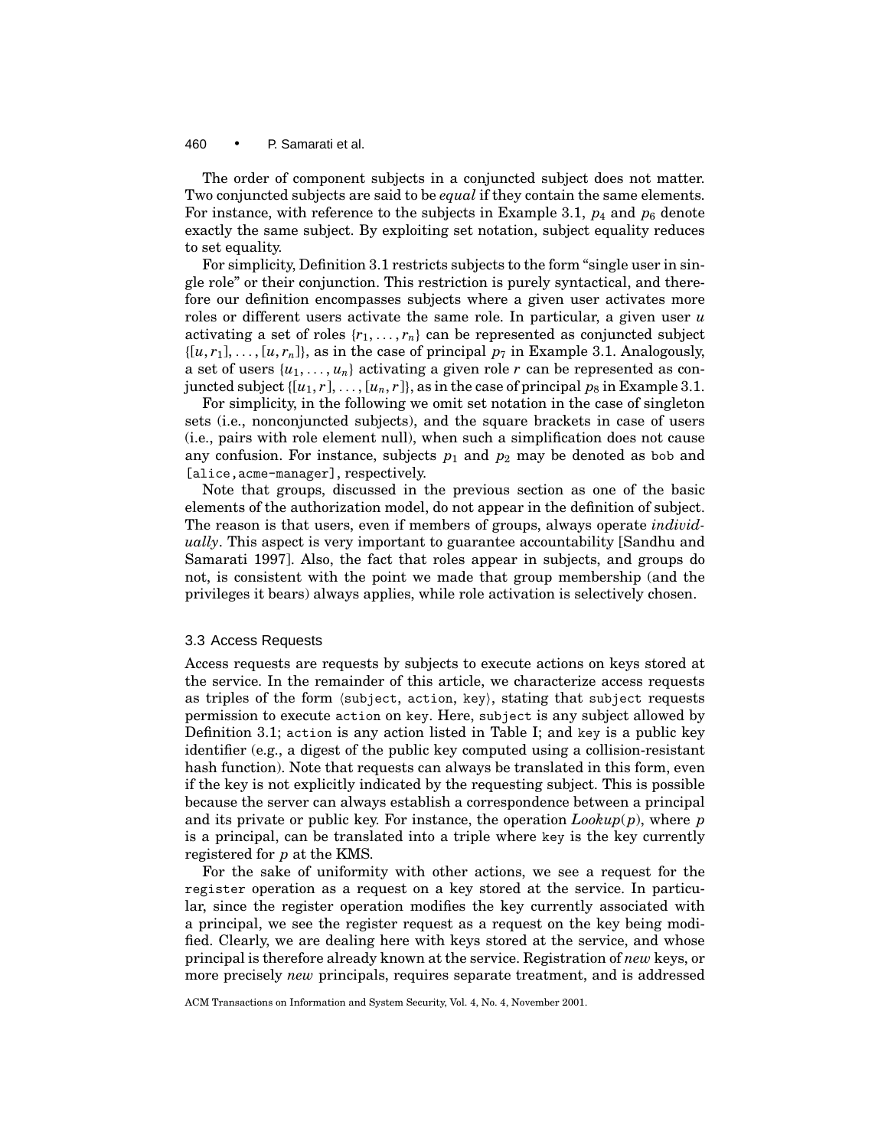The order of component subjects in a conjuncted subject does not matter. Two conjuncted subjects are said to be *equal* if they contain the same elements. For instance, with reference to the subjects in Example 3.1,  $p_4$  and  $p_6$  denote exactly the same subject. By exploiting set notation, subject equality reduces to set equality.

For simplicity, Definition 3.1 restricts subjects to the form "single user in single role" or their conjunction. This restriction is purely syntactical, and therefore our definition encompasses subjects where a given user activates more roles or different users activate the same role. In particular, a given user *u* activating a set of roles  $\{r_1, \ldots, r_n\}$  can be represented as conjuncted subject  $\{[u, r_1], \ldots, [u, r_n]\}$ , as in the case of principal  $p_7$  in Example 3.1. Analogously, a set of users  $\{u_1, \ldots, u_n\}$  activating a given role r can be represented as conjuncted subject  $\{[u_1, r], \ldots, [u_n, r]\}$ , as in the case of principal  $p_8$  in Example 3.1.

For simplicity, in the following we omit set notation in the case of singleton sets (i.e., nonconjuncted subjects), and the square brackets in case of users (i.e., pairs with role element null), when such a simplification does not cause any confusion. For instance, subjects  $p_1$  and  $p_2$  may be denoted as bob and [alice, acme-manager], respectively.

Note that groups, discussed in the previous section as one of the basic elements of the authorization model, do not appear in the definition of subject. The reason is that users, even if members of groups, always operate *individually*. This aspect is very important to guarantee accountability [Sandhu and Samarati 1997]. Also, the fact that roles appear in subjects, and groups do not, is consistent with the point we made that group membership (and the privileges it bears) always applies, while role activation is selectively chosen.

#### 3.3 Access Requests

Access requests are requests by subjects to execute actions on keys stored at the service. In the remainder of this article, we characterize access requests as triples of the form  $\langle \text{subject}, \text{action}, \text{key} \rangle$ , stating that subject requests permission to execute action on key. Here, subject is any subject allowed by Definition 3.1; action is any action listed in Table I; and key is a public key identifier (e.g., a digest of the public key computed using a collision-resistant hash function). Note that requests can always be translated in this form, even if the key is not explicitly indicated by the requesting subject. This is possible because the server can always establish a correspondence between a principal and its private or public key. For instance, the operation  $Loop(p)$ , where  $p$ is a principal, can be translated into a triple where key is the key currently registered for *p* at the KMS.

For the sake of uniformity with other actions, we see a request for the register operation as a request on a key stored at the service. In particular, since the register operation modifies the key currently associated with a principal, we see the register request as a request on the key being modified. Clearly, we are dealing here with keys stored at the service, and whose principal is therefore already known at the service. Registration of *new* keys, or more precisely *new* principals, requires separate treatment, and is addressed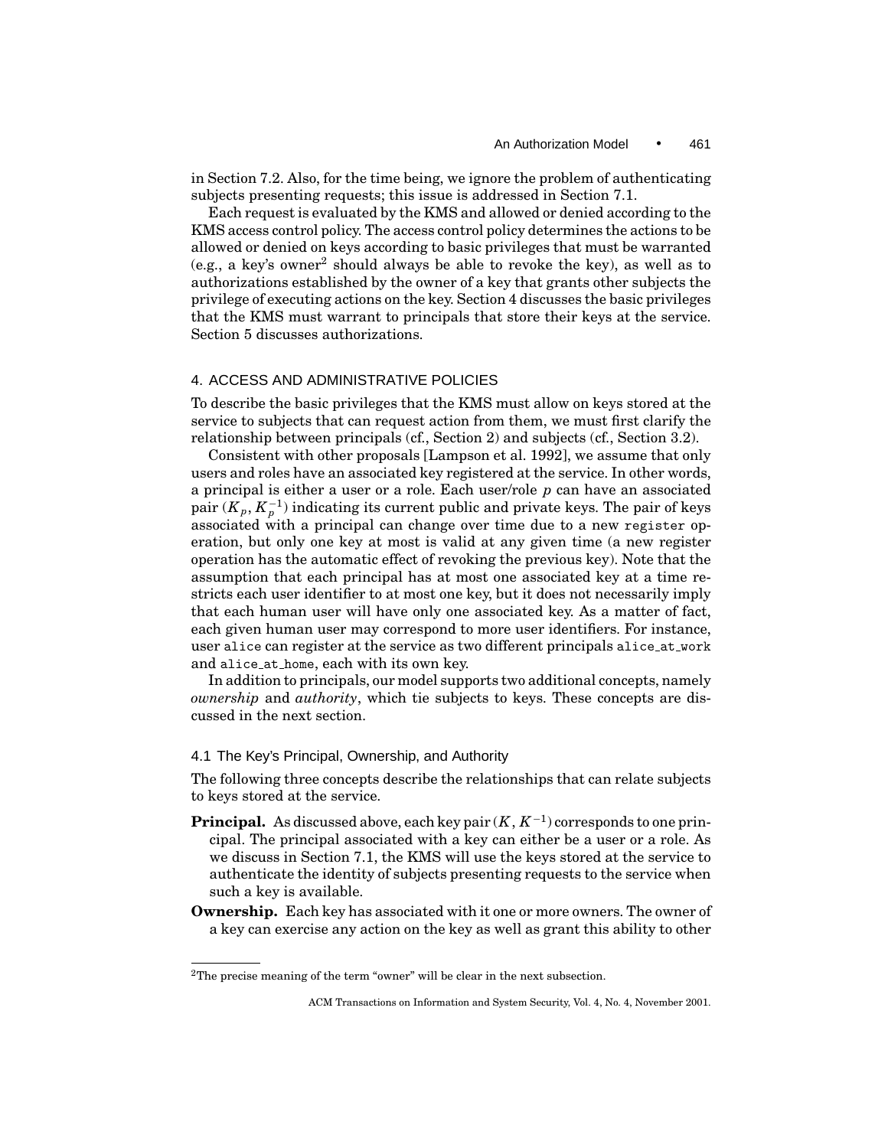in Section 7.2. Also, for the time being, we ignore the problem of authenticating subjects presenting requests; this issue is addressed in Section 7.1.

Each request is evaluated by the KMS and allowed or denied according to the KMS access control policy. The access control policy determines the actions to be allowed or denied on keys according to basic privileges that must be warranted (e.g., a key's owner<sup>2</sup> should always be able to revoke the key), as well as to authorizations established by the owner of a key that grants other subjects the privilege of executing actions on the key. Section 4 discusses the basic privileges that the KMS must warrant to principals that store their keys at the service. Section 5 discusses authorizations.

## 4. ACCESS AND ADMINISTRATIVE POLICIES

To describe the basic privileges that the KMS must allow on keys stored at the service to subjects that can request action from them, we must first clarify the relationship between principals (cf., Section 2) and subjects (cf., Section 3.2).

Consistent with other proposals [Lampson et al. 1992], we assume that only users and roles have an associated key registered at the service. In other words, a principal is either a user or a role. Each user/role *p* can have an associated pair  $(K_p, K_p^{-1})$  indicating its current public and private keys. The pair of keys associated with a principal can change over time due to a new register operation, but only one key at most is valid at any given time (a new register operation has the automatic effect of revoking the previous key). Note that the assumption that each principal has at most one associated key at a time restricts each user identifier to at most one key, but it does not necessarily imply that each human user will have only one associated key. As a matter of fact, each given human user may correspond to more user identifiers. For instance, user alice can register at the service as two different principals alice at work and alice at home, each with its own key.

In addition to principals, our model supports two additional concepts, namely *ownership* and *authority*, which tie subjects to keys. These concepts are discussed in the next section.

## 4.1 The Key's Principal, Ownership, and Authority

The following three concepts describe the relationships that can relate subjects to keys stored at the service.

- **Principal.** As discussed above, each key pair  $(K, K^{-1})$  corresponds to one principal. The principal associated with a key can either be a user or a role. As we discuss in Section 7.1, the KMS will use the keys stored at the service to authenticate the identity of subjects presenting requests to the service when such a key is available.
- **Ownership.** Each key has associated with it one or more owners. The owner of a key can exercise any action on the key as well as grant this ability to other

<sup>2</sup>The precise meaning of the term "owner" will be clear in the next subsection.

ACM Transactions on Information and System Security, Vol. 4, No. 4, November 2001.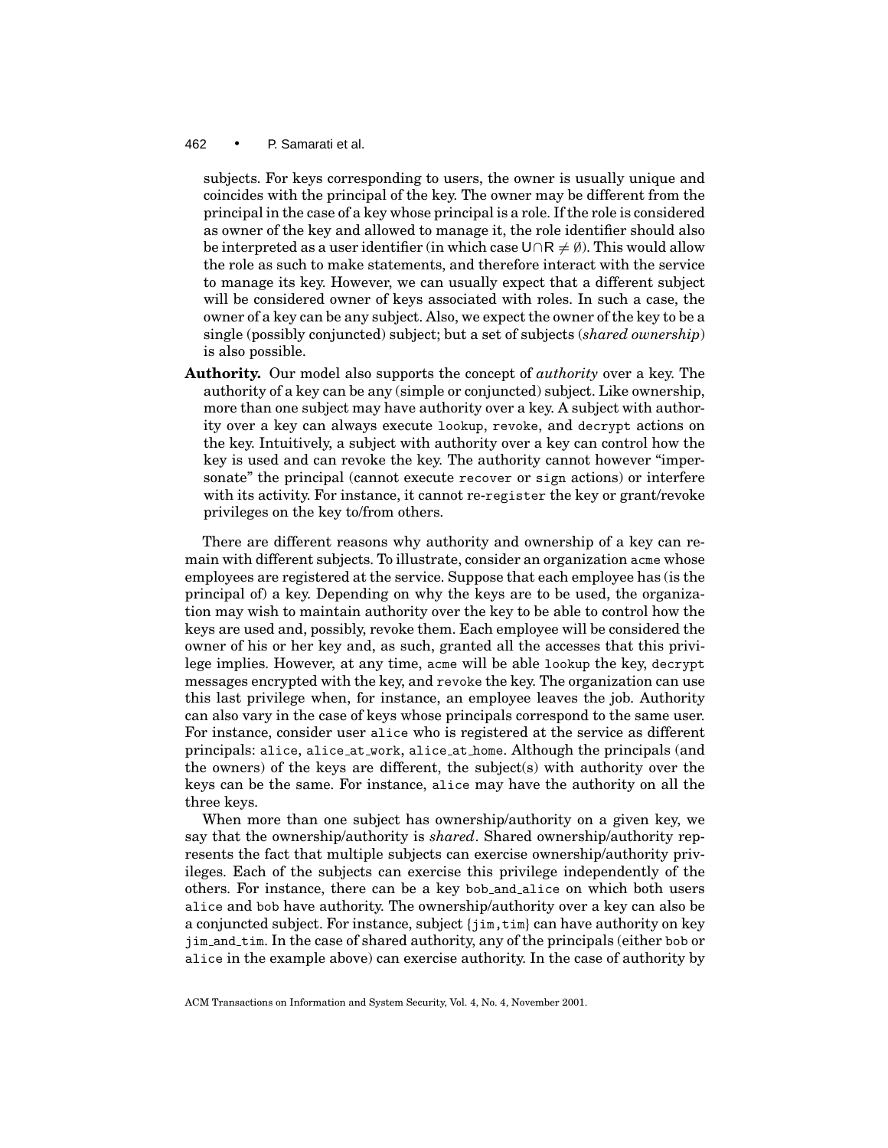subjects. For keys corresponding to users, the owner is usually unique and coincides with the principal of the key. The owner may be different from the principal in the case of a key whose principal is a role. If the role is considered as owner of the key and allowed to manage it, the role identifier should also be interpreted as a user identifier (in which case  $\mathsf{U} \cap \mathsf{R} \neq \emptyset$ ). This would allow the role as such to make statements, and therefore interact with the service to manage its key. However, we can usually expect that a different subject will be considered owner of keys associated with roles. In such a case, the owner of a key can be any subject. Also, we expect the owner of the key to be a single (possibly conjuncted) subject; but a set of subjects (*shared ownership*) is also possible.

**Authority.** Our model also supports the concept of *authority* over a key. The authority of a key can be any (simple or conjuncted) subject. Like ownership, more than one subject may have authority over a key. A subject with authority over a key can always execute lookup, revoke, and decrypt actions on the key. Intuitively, a subject with authority over a key can control how the key is used and can revoke the key. The authority cannot however "impersonate" the principal (cannot execute recover or sign actions) or interfere with its activity. For instance, it cannot re-register the key or grant/revoke privileges on the key to/from others.

There are different reasons why authority and ownership of a key can remain with different subjects. To illustrate, consider an organization acme whose employees are registered at the service. Suppose that each employee has (is the principal of) a key. Depending on why the keys are to be used, the organization may wish to maintain authority over the key to be able to control how the keys are used and, possibly, revoke them. Each employee will be considered the owner of his or her key and, as such, granted all the accesses that this privilege implies. However, at any time, acme will be able lookup the key, decrypt messages encrypted with the key, and revoke the key. The organization can use this last privilege when, for instance, an employee leaves the job. Authority can also vary in the case of keys whose principals correspond to the same user. For instance, consider user alice who is registered at the service as different principals: alice, alice at work, alice at home. Although the principals (and the owners) of the keys are different, the subject(s) with authority over the keys can be the same. For instance, alice may have the authority on all the three keys.

When more than one subject has ownership/authority on a given key, we say that the ownership/authority is *shared*. Shared ownership/authority represents the fact that multiple subjects can exercise ownership/authority privileges. Each of the subjects can exercise this privilege independently of the others. For instance, there can be a key bob and alice on which both users alice and bob have authority. The ownership/authority over a key can also be a conjuncted subject. For instance, subject {jim,tim} can have authority on key jim and tim. In the case of shared authority, any of the principals (either bob or alice in the example above) can exercise authority. In the case of authority by

ACM Transactions on Information and System Security, Vol. 4, No. 4, November 2001.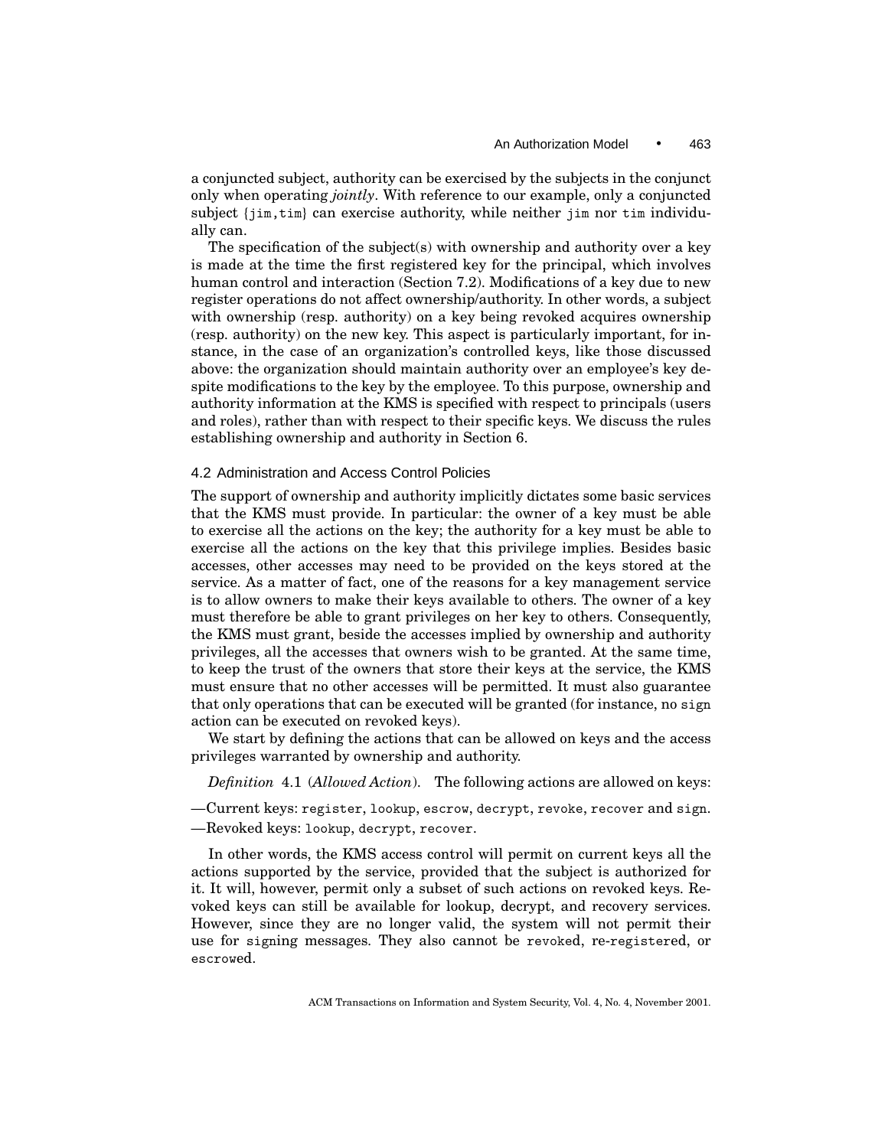a conjuncted subject, authority can be exercised by the subjects in the conjunct only when operating *jointly*. With reference to our example, only a conjuncted subject {jim,tim} can exercise authority, while neither jim nor tim individually can.

The specification of the subject(s) with ownership and authority over a key is made at the time the first registered key for the principal, which involves human control and interaction (Section 7.2). Modifications of a key due to new register operations do not affect ownership/authority. In other words, a subject with ownership (resp. authority) on a key being revoked acquires ownership (resp. authority) on the new key. This aspect is particularly important, for instance, in the case of an organization's controlled keys, like those discussed above: the organization should maintain authority over an employee's key despite modifications to the key by the employee. To this purpose, ownership and authority information at the KMS is specified with respect to principals (users and roles), rather than with respect to their specific keys. We discuss the rules establishing ownership and authority in Section 6.

## 4.2 Administration and Access Control Policies

The support of ownership and authority implicitly dictates some basic services that the KMS must provide. In particular: the owner of a key must be able to exercise all the actions on the key; the authority for a key must be able to exercise all the actions on the key that this privilege implies. Besides basic accesses, other accesses may need to be provided on the keys stored at the service. As a matter of fact, one of the reasons for a key management service is to allow owners to make their keys available to others. The owner of a key must therefore be able to grant privileges on her key to others. Consequently, the KMS must grant, beside the accesses implied by ownership and authority privileges, all the accesses that owners wish to be granted. At the same time, to keep the trust of the owners that store their keys at the service, the KMS must ensure that no other accesses will be permitted. It must also guarantee that only operations that can be executed will be granted (for instance, no sign action can be executed on revoked keys).

We start by defining the actions that can be allowed on keys and the access privileges warranted by ownership and authority.

*Definition* 4.1 (*Allowed Action*). The following actions are allowed on keys:

—Current keys: register, lookup, escrow, decrypt, revoke, recover and sign. —Revoked keys: lookup, decrypt, recover.

In other words, the KMS access control will permit on current keys all the actions supported by the service, provided that the subject is authorized for it. It will, however, permit only a subset of such actions on revoked keys. Revoked keys can still be available for lookup, decrypt, and recovery services. However, since they are no longer valid, the system will not permit their use for signing messages. They also cannot be revoked, re-registered, or escrowed.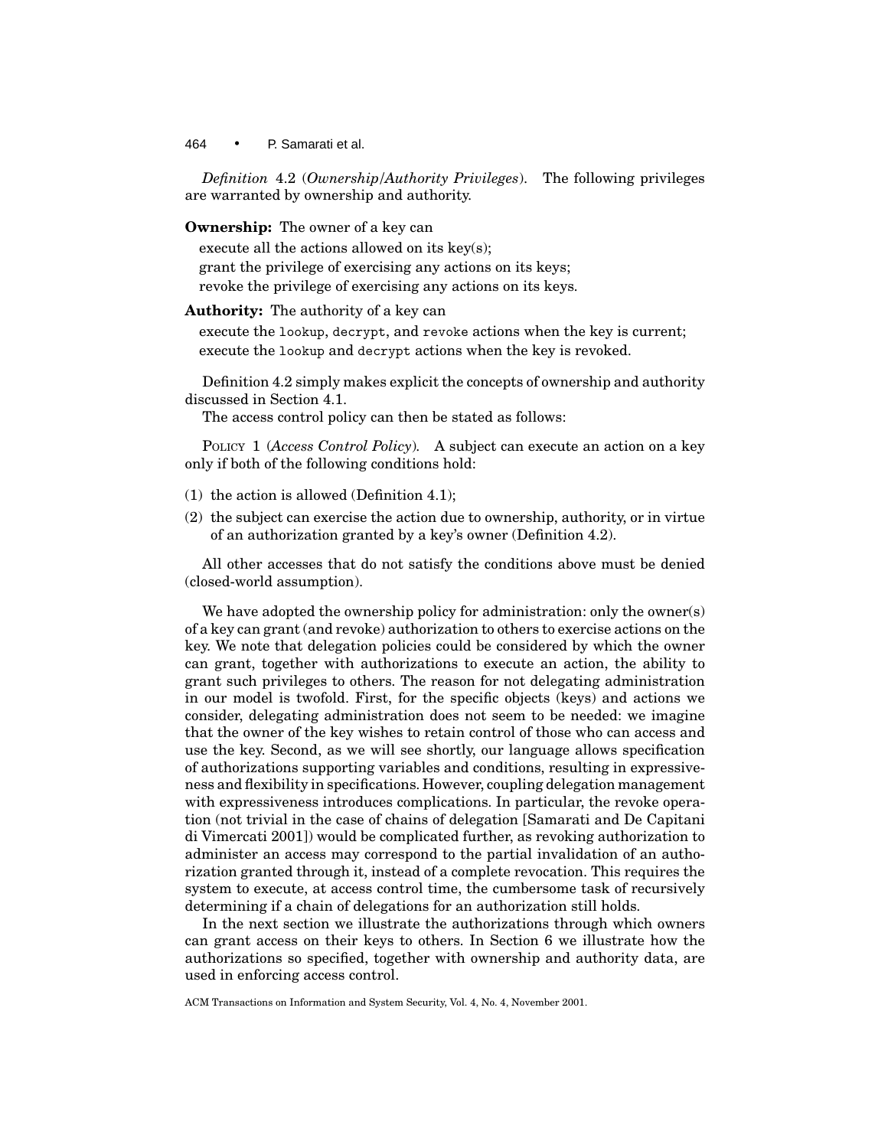*Definition* 4.2 (*Ownership/Authority Privileges*). The following privileges are warranted by ownership and authority.

**Ownership:** The owner of a key can

execute all the actions allowed on its key(s); grant the privilege of exercising any actions on its keys; revoke the privilege of exercising any actions on its keys.

**Authority:** The authority of a key can

execute the lookup, decrypt, and revoke actions when the key is current; execute the lookup and decrypt actions when the key is revoked.

Definition 4.2 simply makes explicit the concepts of ownership and authority discussed in Section 4.1.

The access control policy can then be stated as follows:

POLICY 1 (*Access Control Policy*)*.* A subject can execute an action on a key only if both of the following conditions hold:

- (1) the action is allowed (Definition 4.1);
- (2) the subject can exercise the action due to ownership, authority, or in virtue of an authorization granted by a key's owner (Definition 4.2).

All other accesses that do not satisfy the conditions above must be denied (closed-world assumption).

We have adopted the ownership policy for administration: only the owner(s) of a key can grant (and revoke) authorization to others to exercise actions on the key. We note that delegation policies could be considered by which the owner can grant, together with authorizations to execute an action, the ability to grant such privileges to others. The reason for not delegating administration in our model is twofold. First, for the specific objects (keys) and actions we consider, delegating administration does not seem to be needed: we imagine that the owner of the key wishes to retain control of those who can access and use the key. Second, as we will see shortly, our language allows specification of authorizations supporting variables and conditions, resulting in expressiveness and flexibility in specifications. However, coupling delegation management with expressiveness introduces complications. In particular, the revoke operation (not trivial in the case of chains of delegation [Samarati and De Capitani di Vimercati 2001]) would be complicated further, as revoking authorization to administer an access may correspond to the partial invalidation of an authorization granted through it, instead of a complete revocation. This requires the system to execute, at access control time, the cumbersome task of recursively determining if a chain of delegations for an authorization still holds.

In the next section we illustrate the authorizations through which owners can grant access on their keys to others. In Section 6 we illustrate how the authorizations so specified, together with ownership and authority data, are used in enforcing access control.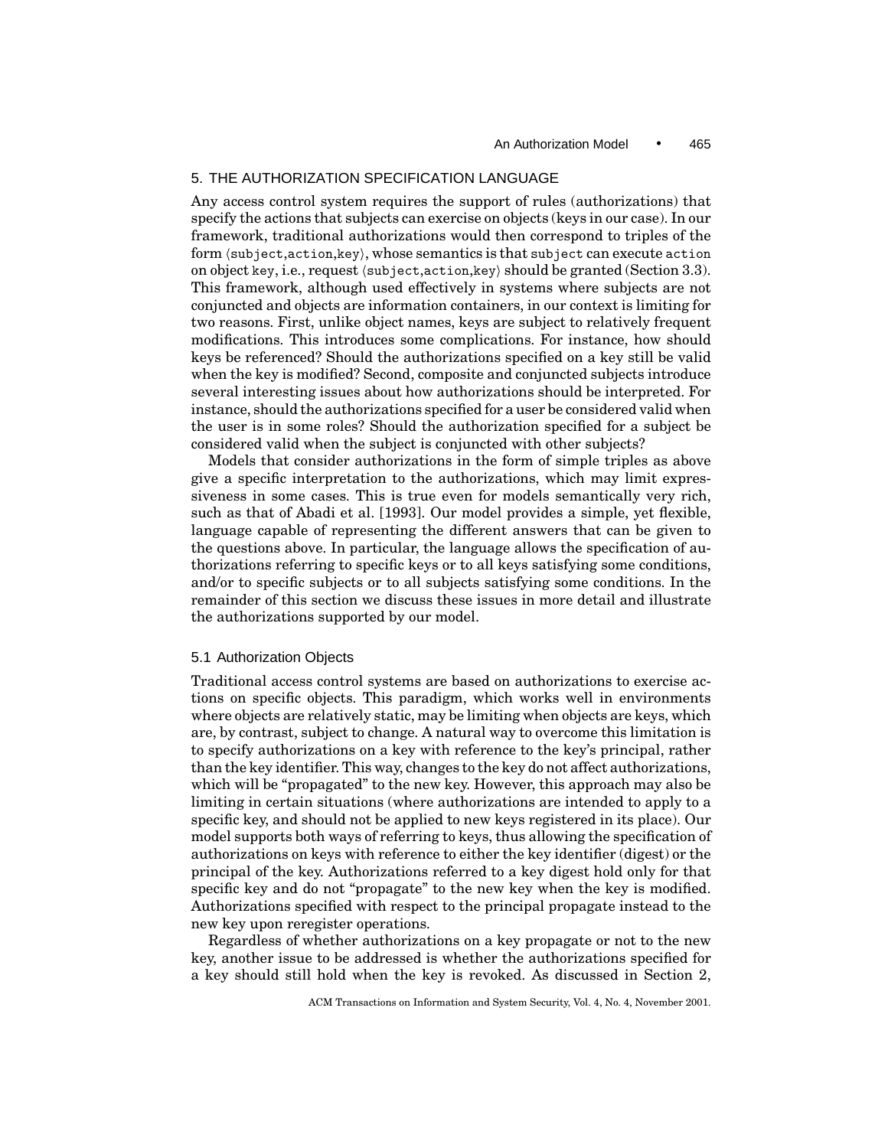## 5. THE AUTHORIZATION SPECIFICATION LANGUAGE

Any access control system requires the support of rules (authorizations) that specify the actions that subjects can exercise on objects (keys in our case). In our framework, traditional authorizations would then correspond to triples of the form  $\langle \text{subject}, \text{action}, \text{key} \rangle$ , whose semantics is that subject can execute action on object key, i.e., request  $\langle \text{subject,action,key} \rangle$  should be granted (Section 3.3). This framework, although used effectively in systems where subjects are not conjuncted and objects are information containers, in our context is limiting for two reasons. First, unlike object names, keys are subject to relatively frequent modifications. This introduces some complications. For instance, how should keys be referenced? Should the authorizations specified on a key still be valid when the key is modified? Second, composite and conjuncted subjects introduce several interesting issues about how authorizations should be interpreted. For instance, should the authorizations specified for a user be considered valid when the user is in some roles? Should the authorization specified for a subject be considered valid when the subject is conjuncted with other subjects?

Models that consider authorizations in the form of simple triples as above give a specific interpretation to the authorizations, which may limit expressiveness in some cases. This is true even for models semantically very rich, such as that of Abadi et al. [1993]. Our model provides a simple, yet flexible, language capable of representing the different answers that can be given to the questions above. In particular, the language allows the specification of authorizations referring to specific keys or to all keys satisfying some conditions, and/or to specific subjects or to all subjects satisfying some conditions. In the remainder of this section we discuss these issues in more detail and illustrate the authorizations supported by our model.

#### 5.1 Authorization Objects

Traditional access control systems are based on authorizations to exercise actions on specific objects. This paradigm, which works well in environments where objects are relatively static, may be limiting when objects are keys, which are, by contrast, subject to change. A natural way to overcome this limitation is to specify authorizations on a key with reference to the key's principal, rather than the key identifier. This way, changes to the key do not affect authorizations, which will be "propagated" to the new key. However, this approach may also be limiting in certain situations (where authorizations are intended to apply to a specific key, and should not be applied to new keys registered in its place). Our model supports both ways of referring to keys, thus allowing the specification of authorizations on keys with reference to either the key identifier (digest) or the principal of the key. Authorizations referred to a key digest hold only for that specific key and do not "propagate" to the new key when the key is modified. Authorizations specified with respect to the principal propagate instead to the new key upon reregister operations.

Regardless of whether authorizations on a key propagate or not to the new key, another issue to be addressed is whether the authorizations specified for a key should still hold when the key is revoked. As discussed in Section 2,

ACM Transactions on Information and System Security, Vol. 4, No. 4, November 2001.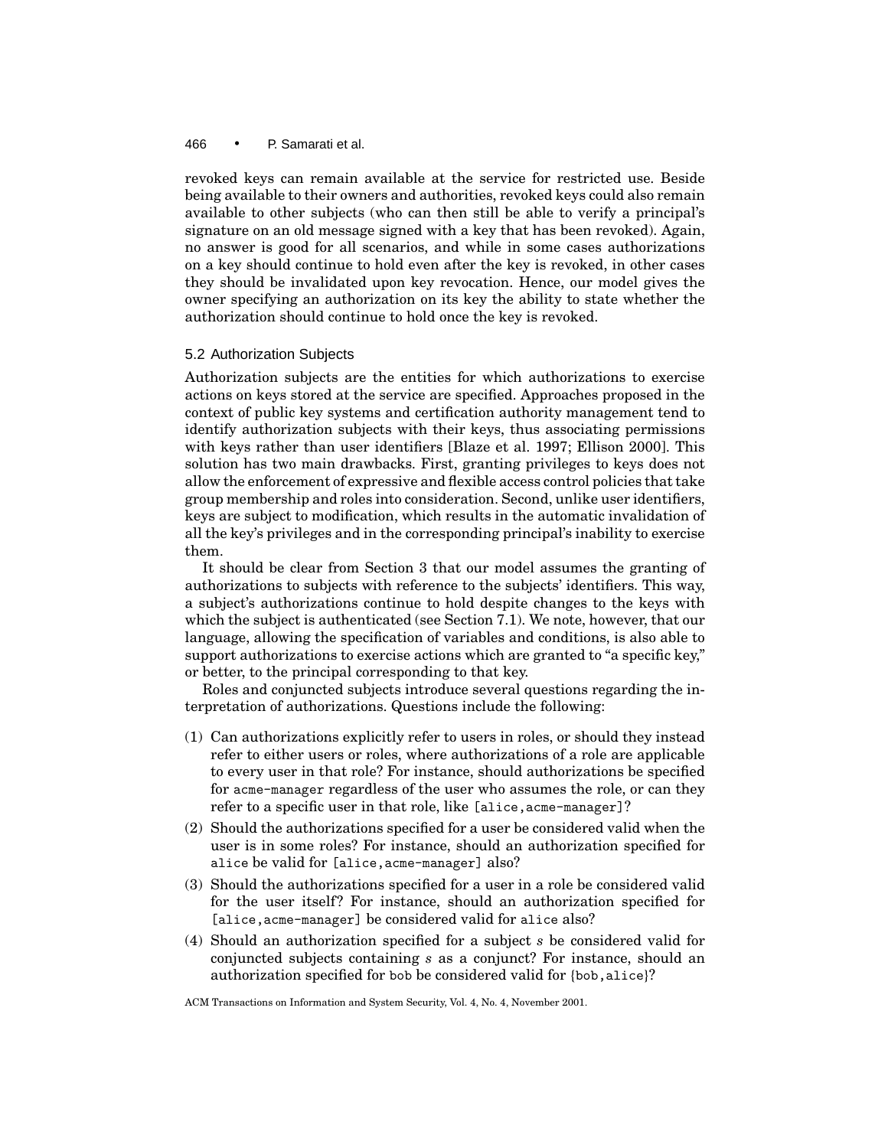revoked keys can remain available at the service for restricted use. Beside being available to their owners and authorities, revoked keys could also remain available to other subjects (who can then still be able to verify a principal's signature on an old message signed with a key that has been revoked). Again, no answer is good for all scenarios, and while in some cases authorizations on a key should continue to hold even after the key is revoked, in other cases they should be invalidated upon key revocation. Hence, our model gives the owner specifying an authorization on its key the ability to state whether the authorization should continue to hold once the key is revoked.

#### 5.2 Authorization Subjects

Authorization subjects are the entities for which authorizations to exercise actions on keys stored at the service are specified. Approaches proposed in the context of public key systems and certification authority management tend to identify authorization subjects with their keys, thus associating permissions with keys rather than user identifiers [Blaze et al. 1997; Ellison 2000]. This solution has two main drawbacks. First, granting privileges to keys does not allow the enforcement of expressive and flexible access control policies that take group membership and roles into consideration. Second, unlike user identifiers, keys are subject to modification, which results in the automatic invalidation of all the key's privileges and in the corresponding principal's inability to exercise them.

It should be clear from Section 3 that our model assumes the granting of authorizations to subjects with reference to the subjects' identifiers. This way, a subject's authorizations continue to hold despite changes to the keys with which the subject is authenticated (see Section 7.1). We note, however, that our language, allowing the specification of variables and conditions, is also able to support authorizations to exercise actions which are granted to "a specific key," or better, to the principal corresponding to that key.

Roles and conjuncted subjects introduce several questions regarding the interpretation of authorizations. Questions include the following:

- (1) Can authorizations explicitly refer to users in roles, or should they instead refer to either users or roles, where authorizations of a role are applicable to every user in that role? For instance, should authorizations be specified for acme-manager regardless of the user who assumes the role, or can they refer to a specific user in that role, like [alice,acme-manager]?
- (2) Should the authorizations specified for a user be considered valid when the user is in some roles? For instance, should an authorization specified for alice be valid for [alice,acme-manager] also?
- (3) Should the authorizations specified for a user in a role be considered valid for the user itself? For instance, should an authorization specified for [alice, acme-manager] be considered valid for alice also?
- (4) Should an authorization specified for a subject *s* be considered valid for conjuncted subjects containing *s* as a conjunct? For instance, should an authorization specified for bob be considered valid for {bob,alice}?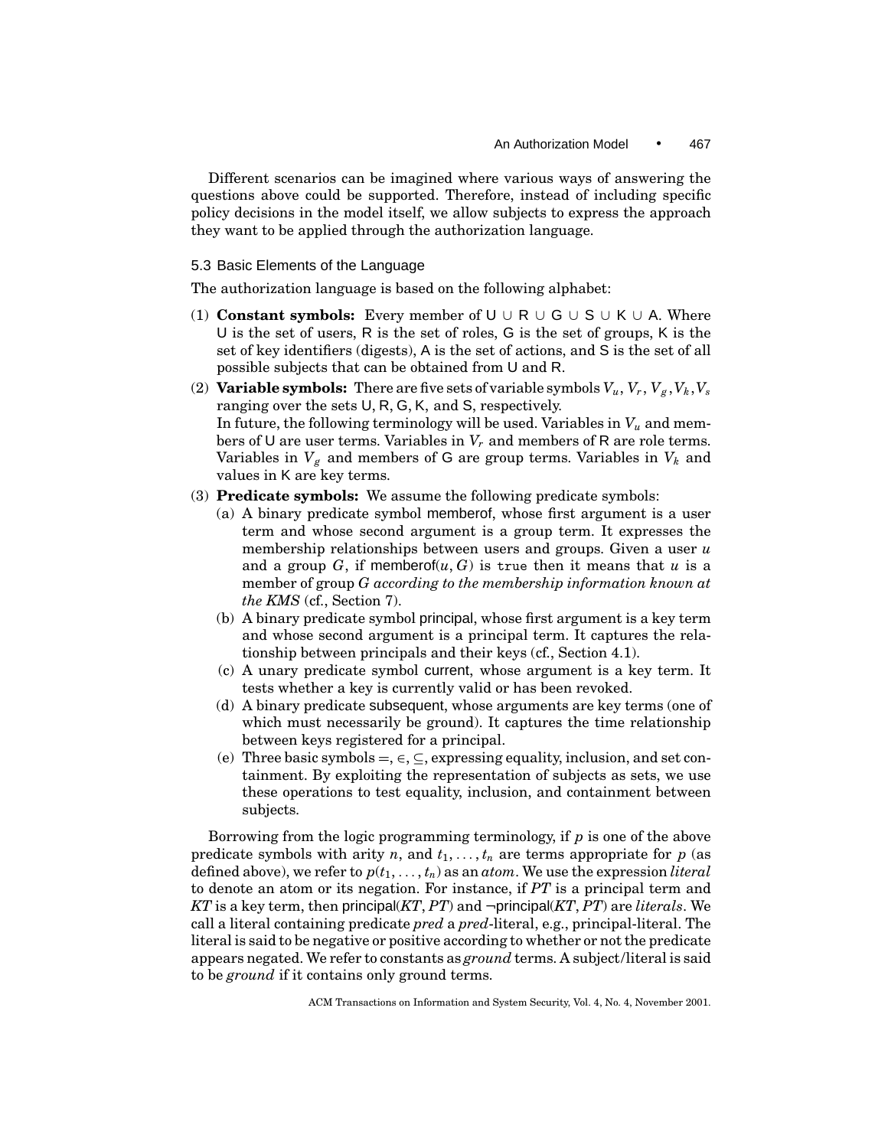Different scenarios can be imagined where various ways of answering the questions above could be supported. Therefore, instead of including specific policy decisions in the model itself, we allow subjects to express the approach they want to be applied through the authorization language.

## 5.3 Basic Elements of the Language

The authorization language is based on the following alphabet:

- (1) **Constant symbols:** Every member of U ∪ R ∪ G ∪ S ∪ K ∪ A. Where U is the set of users, R is the set of roles, G is the set of groups, K is the set of key identifiers (digests), A is the set of actions, and S is the set of all possible subjects that can be obtained from U and R.
- (2) **Variable symbols:** There are five sets of variable symbols  $V_u$ ,  $V_r$ ,  $V_g$ ,  $V_k$ ,  $V_s$ ranging over the sets U, R, G, K, and S, respectively. In future, the following terminology will be used. Variables in  $V_u$  and members of  $U$  are user terms. Variables in  $V_r$  and members of R are role terms.

Variables in  $V_g$  and members of G are group terms. Variables in  $V_k$  and values in K are key terms.

- (3) **Predicate symbols:** We assume the following predicate symbols:
	- (a) A binary predicate symbol memberof, whose first argument is a user term and whose second argument is a group term. It expresses the membership relationships between users and groups. Given a user *u* and a group *G*, if memberof(*u*, *G*) is true then it means that *u* is a member of group *G according to the membership information known at the KMS* (cf., Section 7).
	- (b) A binary predicate symbol principal, whose first argument is a key term and whose second argument is a principal term. It captures the relationship between principals and their keys (cf., Section 4.1).
	- (c) A unary predicate symbol current, whose argument is a key term. It tests whether a key is currently valid or has been revoked.
	- (d) A binary predicate subsequent, whose arguments are key terms (one of which must necessarily be ground). It captures the time relationship between keys registered for a principal.
	- (e) Three basic symbols =,  $\in$ ,  $\subseteq$ , expressing equality, inclusion, and set containment. By exploiting the representation of subjects as sets, we use these operations to test equality, inclusion, and containment between subjects.

Borrowing from the logic programming terminology, if *p* is one of the above predicate symbols with arity *n*, and  $t_1, \ldots, t_n$  are terms appropriate for *p* (as defined above), we refer to  $p(t_1, \ldots, t_n)$  as an *atom*. We use the expression *literal* to denote an atom or its negation. For instance, if *PT* is a principal term and *KT* is a key term, then principal(*KT*, *PT*) and ¬principal(*KT*, *PT*) are *literals*. We call a literal containing predicate *pred* a *pred*-literal, e.g., principal-literal. The literal is said to be negative or positive according to whether or not the predicate appears negated. We refer to constants as *ground* terms. A subject/literal is said to be *ground* if it contains only ground terms.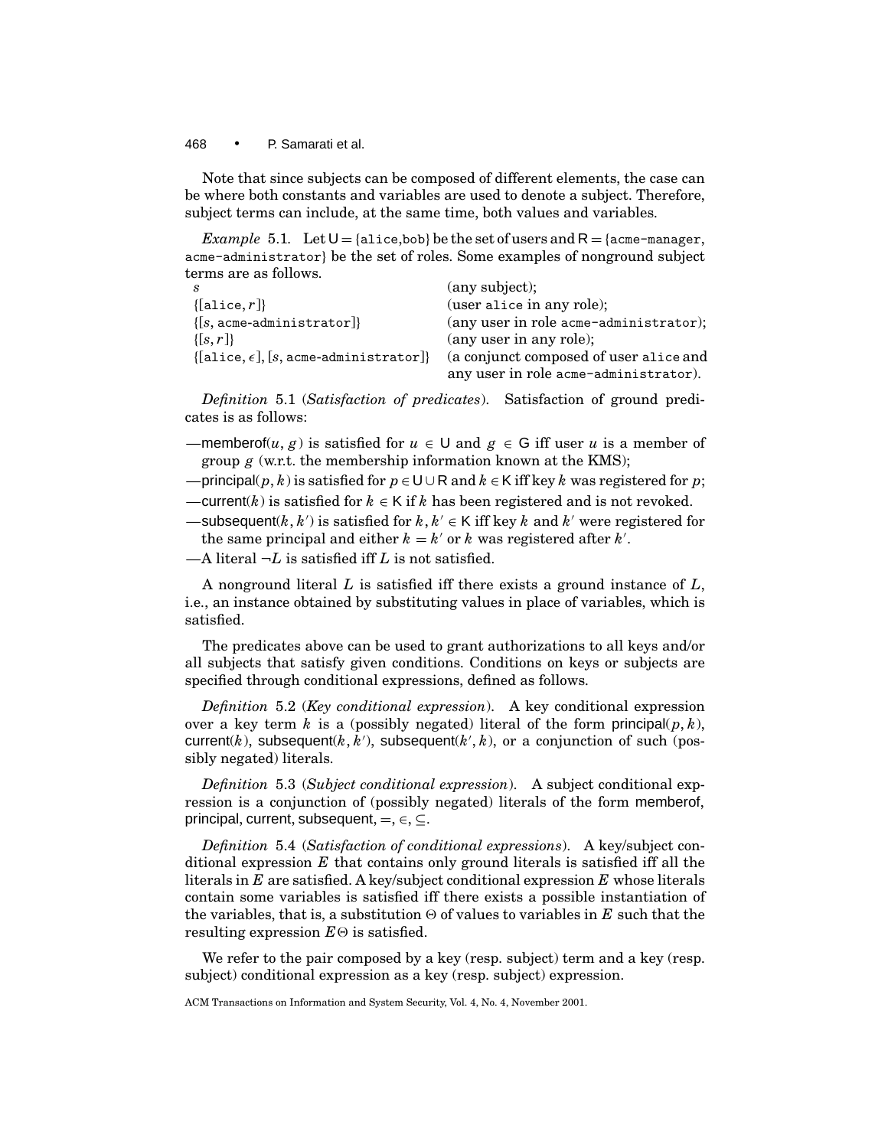Note that since subjects can be composed of different elements, the case can be where both constants and variables are used to denote a subject. Therefore, subject terms can include, at the same time, both values and variables.

*Example* 5.1. Let  $U = \{ \text{alice, bob} \}$  be the set of users and  $R = \{ \text{acme-manager}, \}$ acme-administrator} be the set of roles. Some examples of nonground subject terms are as follows.

|                                                                | $(\text{any subject});$                |
|----------------------------------------------------------------|----------------------------------------|
| $\{[\text{alice}, r]\}$                                        | (user alice in any role);              |
| $\{[s, \text{acme-administrator}]\}$                           | (any user in role acme-administrator); |
| $\{ [s, r] \}$                                                 | (any user in any role);                |
| $\{[\text{alice}, \epsilon], [s, \text{acme-administrator}]\}$ | (a conjunct composed of user alice and |
|                                                                | any user in role acme-administrator).  |

*Definition* 5.1 (*Satisfaction of predicates*). Satisfaction of ground predicates is as follows:

- —memberof(*u*, *g*) is satisfied for  $u \in U$  and  $g \in G$  iff user *u* is a member of group *g* (w.r.t. the membership information known at the KMS);
- —principal( $p, k$ ) is satisfied for  $p \in U \cup R$  and  $k \in K$  iff key  $k$  was registered for  $p$ ;
- —current(*k*) is satisfied for  $k \in K$  if  $k$  has been registered and is not revoked.
- —subsequent( $k, k'$ ) is satisfied for  $k, k' \in K$  iff key  $k$  and  $k'$  were registered for the same principal and either  $k = k'$  or  $k$  was registered after  $k'$ .
- $-A$  literal  $\neg L$  is satisfied iff *L* is not satisfied.

A nonground literal *L* is satisfied iff there exists a ground instance of *L*, i.e., an instance obtained by substituting values in place of variables, which is satisfied.

The predicates above can be used to grant authorizations to all keys and/or all subjects that satisfy given conditions. Conditions on keys or subjects are specified through conditional expressions, defined as follows.

*Definition* 5.2 (*Key conditional expression*). A key conditional expression over a key term  $k$  is a (possibly negated) literal of the form principal( $p, k$ ), current(k), subsequent(k, k'), subsequent(k', k), or a conjunction of such (possibly negated) literals.

*Definition* 5.3 (*Subject conditional expression*). A subject conditional expression is a conjunction of (possibly negated) literals of the form memberof, principal, current, subsequent,  $=$ ,  $\in$ ,  $\subseteq$ .

*Definition* 5.4 (*Satisfaction of conditional expressions*). A key/subject conditional expression *E* that contains only ground literals is satisfied iff all the literals in *E* are satisfied. A key/subject conditional expression *E* whose literals contain some variables is satisfied iff there exists a possible instantiation of the variables, that is, a substitution  $\Theta$  of values to variables in  $E$  such that the resulting expression  $E\Theta$  is satisfied.

We refer to the pair composed by a key (resp. subject) term and a key (resp. subject) conditional expression as a key (resp. subject) expression.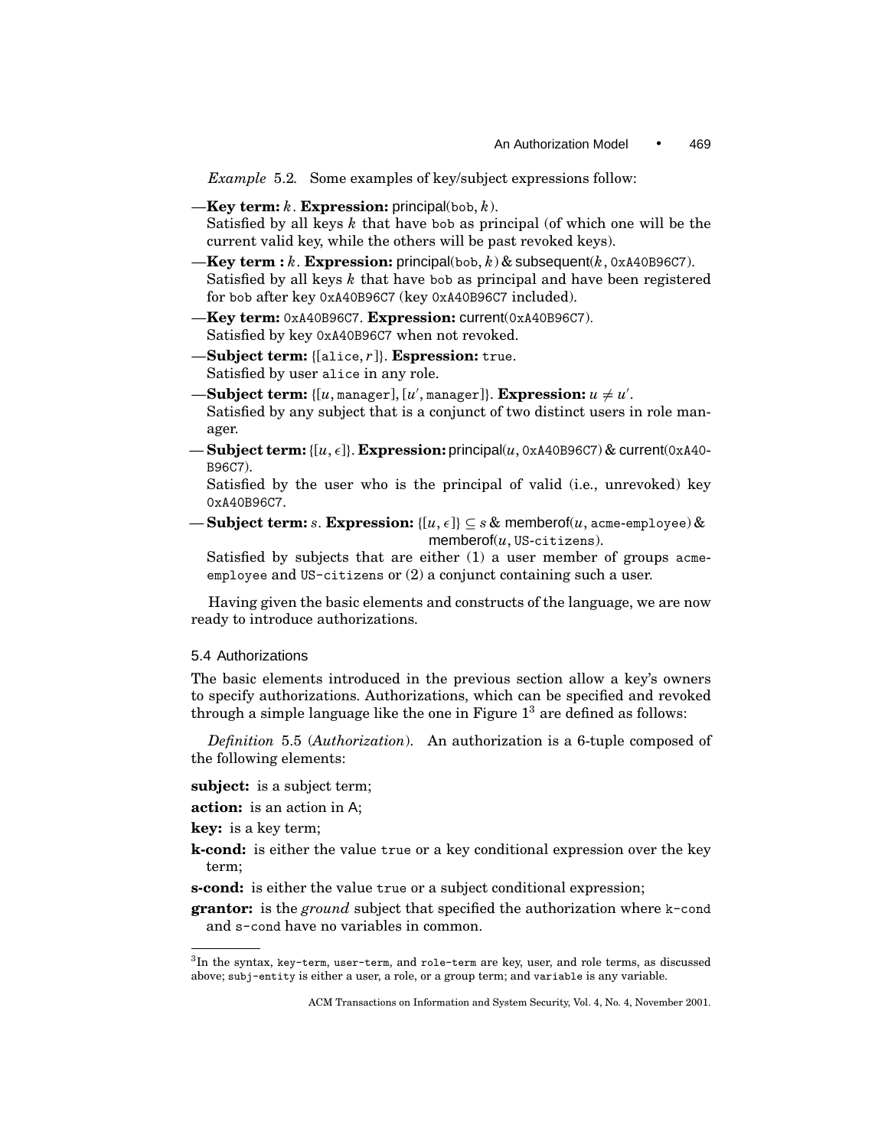*Example* 5.2. Some examples of key/subject expressions follow:

- —**Key term:** *k*. **Expression:** principal(bob, *k*). Satisfied by all keys *k* that have bob as principal (of which one will be the current valid key, while the others will be past revoked keys).
- —**Key term :** *k*. **Expression:** principal(bob, *k*) & subsequent(*k*, 0xA40B96C7). Satisfied by all keys *k* that have bob as principal and have been registered for bob after key 0xA40B96C7 (key 0xA40B96C7 included).
- —**Key term:** 0xA40B96C7. **Expression:** current(0xA40B96C7). Satisfied by key 0xA40B96C7 when not revoked.
- —**Subject term:** {[alice, *r*]}. **Espression:** true. Satisfied by user alice in any role.
- $\infty$  **Subject term:** {[u, manager], [u', manager]}. **Expression:**  $u \neq u'$ . Satisfied by any subject that is a conjunct of two distinct users in role manager.
- $-$  **Subject term:**  $\{[\mu, \epsilon]\}$ . **Expression:** principal $(\mu, 0 \times A40B96C7)$  & current(0xA40-B96C7).

Satisfied by the user who is the principal of valid (i.e., unrevoked) key 0xA40B96C7.

 $\mathbf{S} = \mathbf{S}$  **Subject term:** *s*. **Expression:**  $\{[u, \epsilon]\} \subseteq s$  & memberof(*u*, acme-employee) & memberof(*u*, US-citizens).

Satisfied by subjects that are either (1) a user member of groups acmeemployee and US-citizens or (2) a conjunct containing such a user.

Having given the basic elements and constructs of the language, we are now ready to introduce authorizations.

## 5.4 Authorizations

The basic elements introduced in the previous section allow a key's owners to specify authorizations. Authorizations, which can be specified and revoked through a simple language like the one in Figure  $1<sup>3</sup>$  are defined as follows:

*Definition* 5.5 (*Authorization*). An authorization is a 6-tuple composed of the following elements:

**subject:** is a subject term;

**action:** is an action in A;

**key:** is a key term;

- **k-cond:** is either the value true or a key conditional expression over the key term;
- **s-cond:** is either the value true or a subject conditional expression;

**grantor:** is the *ground* subject that specified the authorization where k-cond and s-cond have no variables in common.

 ${}^{3}$ In the syntax, key-term, user-term, and role-term are key, user, and role terms, as discussed above; subj-entity is either a user, a role, or a group term; and variable is any variable.

ACM Transactions on Information and System Security, Vol. 4, No. 4, November 2001.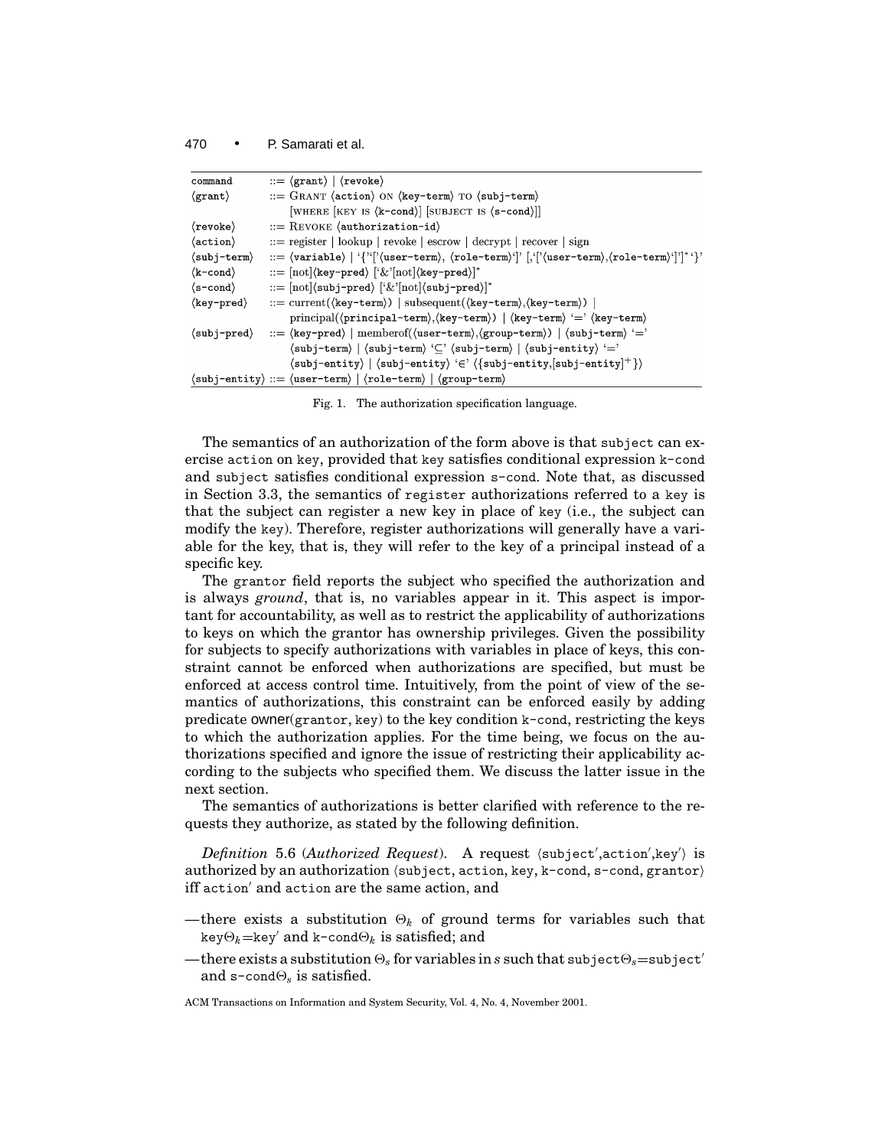| command                              | $ ::= \langle \texttt{grant} \rangle \mid \langle \texttt{revoke} \rangle$                                                                                                                              |
|--------------------------------------|---------------------------------------------------------------------------------------------------------------------------------------------------------------------------------------------------------|
| $\langle \text{grant} \rangle$       | $ ::=$ GRANT $\langle$ action $\rangle$ ON $\langle$ key-term $\rangle$ TO $\langle$ subj-term $\rangle$                                                                                                |
|                                      | [WHERE [KEY IS $\langle$ k-cond $\rangle$ ] [SUBJECT IS $\langle$ s-cond $\rangle$ ]]                                                                                                                   |
| $\langle$ revoke $\rangle$           | $ ::=$ REVOKE (authorization-id)                                                                                                                                                                        |
| $\langle$ action $\rangle$           | $\therefore$ = register   lookup   revoke   escrow   decrypt   recover   sign                                                                                                                           |
| $\langle \texttt{subj-term} \rangle$ | $ ::= \langle \text{variable} \rangle   ' \{``[''\text{user-term}\rangle, \langle \text{role-term}\rangle']'  .' \langle \text{user-term}\rangle, \langle \text{role-term}\rangle'   \}$                |
| $\langle k$ -cond $\rangle$          | $ ::= [not] \langle key-pred \rangle   \langle \&'[not] \langle key-pred \rangle  ^*$                                                                                                                   |
| $\langle$ s-cond $\rangle$           | $ ::= [not] \langle subj-pred \rangle   \langle \&'   not] \langle subj-pred \rangle  ^*$                                                                                                               |
| $\langle$ key-pred $\rangle$         | $ ::=$ current( $\langle \text{key-term} \rangle$ )   subsequent( $\langle \text{key-term} \rangle$ , $\langle \text{key-term} \rangle$ )                                                               |
|                                      | $principal(\{principal-term\}, \{key-term\})   \langle key-term \rangle = \langle key-term \rangle$                                                                                                     |
| $\langle \texttt{subj-pred} \rangle$ | $\mathcal{C}:=\langle \mathtt{key-pred}\rangle \mid \mathrm{member of}(\langle \mathtt{user-term}\rangle, \langle \mathtt{group-term}\rangle) \mid \langle \mathtt{subj-term}\rangle \subseteq \rangle$ |
|                                      | 〈subj-term〉  〈subj-term〉'⊆' 〈subj-term〉  〈subj-entity〉'='                                                                                                                                               |
|                                      | $\langle \textsf{subj-entity}\rangle \mid \langle \textsf{subj-entity}\rangle \,\, \lq \in' \, \langle \{\textsf{subj-entity}, [\textsf{subj-entity}]^+ \} \rangle$                                     |
|                                      | $\langle \text{subj-entity} \rangle ::= \langle \text{user-term} \rangle \mid \langle \text{role-term} \rangle \mid \langle \text{group-term} \rangle$                                                  |

Fig. 1. The authorization specification language.

The semantics of an authorization of the form above is that subject can exercise action on key, provided that key satisfies conditional expression k-cond and subject satisfies conditional expression s-cond. Note that, as discussed in Section 3.3, the semantics of register authorizations referred to a key is that the subject can register a new key in place of key (i.e., the subject can modify the key). Therefore, register authorizations will generally have a variable for the key, that is, they will refer to the key of a principal instead of a specific key.

The grantor field reports the subject who specified the authorization and is always *ground*, that is, no variables appear in it. This aspect is important for accountability, as well as to restrict the applicability of authorizations to keys on which the grantor has ownership privileges. Given the possibility for subjects to specify authorizations with variables in place of keys, this constraint cannot be enforced when authorizations are specified, but must be enforced at access control time. Intuitively, from the point of view of the semantics of authorizations, this constraint can be enforced easily by adding predicate owner(grantor, key) to the key condition  $k$ -cond, restricting the keys to which the authorization applies. For the time being, we focus on the authorizations specified and ignore the issue of restricting their applicability according to the subjects who specified them. We discuss the latter issue in the next section.

The semantics of authorizations is better clarified with reference to the requests they authorize, as stated by the following definition.

 $Definition 5.6 (Authorized Request). A request (subject', action', key') is$ authorized by an authorization  $\langle \text{subject}, \text{action}, \text{key}, \text{k-cond}, \text{s-cond}, \text{grantor} \rangle$ iff action' and action are the same action, and

- —there exists a substitution  $\Theta_k$  of ground terms for variables such that  $key\Theta_k$ =key' and k-cond $\Theta_k$  is satisfied; and
- —there exists a substitution  $\Theta_s$  for variables in *s* such that subject  $\Theta_s$ =subject' and  $s$ -cond $\Theta_s$  is satisfied.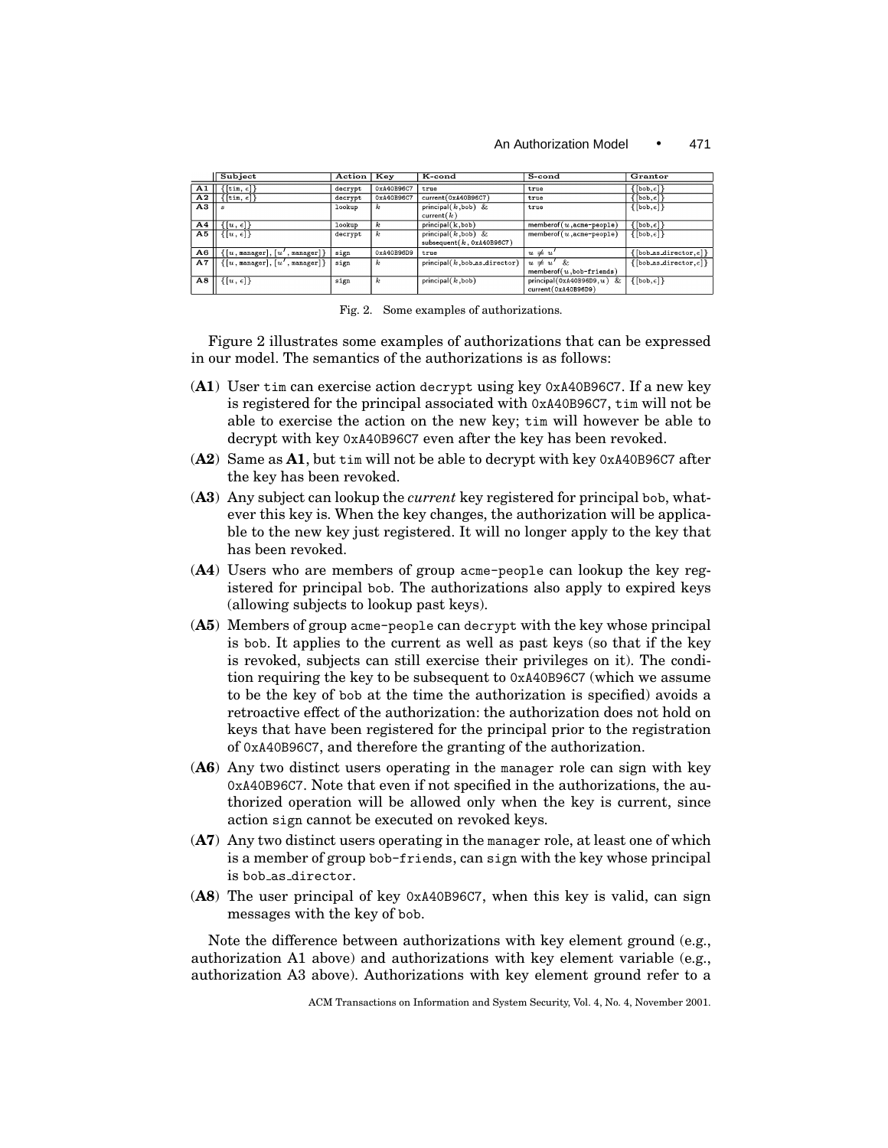## An Authorization Model • 471

|       | Subject                                           | Action  | Key        | K-cond                        | S-cond                              | Grantor                                                     |
|-------|---------------------------------------------------|---------|------------|-------------------------------|-------------------------------------|-------------------------------------------------------------|
| A1    | $[$ [tim, $\epsilon$ ]}                           | decrypt | 0xA40B96C7 | true                          | true                                | $\{[\text{bob}, \epsilon]\}$                                |
| A2    | $\{[\text{tim}, \epsilon]\}$                      | decrypt | 0x440B96C7 | current(0xA40B96C7)           | true                                | $\{[\text{bob}, \epsilon]\}$                                |
| A3    | <b>S</b>                                          | lookup  | ĸ          | principal $(k, \text{bob})$ & | true                                | $\{[\texttt{bob}, \epsilon]\}$                              |
|       |                                                   |         |            | current(k)                    |                                     |                                                             |
| A4    | $\{ u,\epsilon \}$                                | lookup  | k          | principal(k,bob)              | $memberof(u, \texttt{acme-people})$ | $\{[\text{bob}, \epsilon]\}$                                |
| A 5 I | $\{ [u, \epsilon] \}$                             | decrypt | k          | principal $(k, \text{bob})$ & | $memberof(u, \text{acme-people})$   | $\{[\text{bob}, \epsilon]\}$                                |
|       |                                                   |         |            | subsequent( $k$ , 0xA40B96C7) |                                     |                                                             |
| A6    | $\{ [u, \text{manager}], [u', \text{manager}] \}$ | sign    | 0xA40B96D9 | true                          | $u \neq u'$                         | $\{[\text{bob}\_ \text{as}\_ \text{directory}, \epsilon]\}$ |
| A7    | $\{[u, \text{manager}], [u', \text{manager}]\}$   | sign    | k          | $principal(k, b_0b_0as_0)$    | $u \neq u'$ &                       | $\{[\text{bob\_as\_directory}, \epsilon]\}$                 |
|       |                                                   |         |            |                               | $memberof(u, bob-friends)$          |                                                             |
| A8 I  | $\{ [u, \epsilon] \}$                             | sign    | k          | principal(k, bob)             | principal(0xA40B96D9, u)<br>-&      | $\{ bob,\epsilon \}$                                        |
|       |                                                   |         |            |                               | current (0xA40B96D9)                |                                                             |

Fig. 2. Some examples of authorizations.

Figure 2 illustrates some examples of authorizations that can be expressed in our model. The semantics of the authorizations is as follows:

- (**A1**) User tim can exercise action decrypt using key 0xA40B96C7. If a new key is registered for the principal associated with 0xA40B96C7, tim will not be able to exercise the action on the new key; tim will however be able to decrypt with key 0xA40B96C7 even after the key has been revoked.
- (**A2**) Same as **A1**, but tim will not be able to decrypt with key 0xA40B96C7 after the key has been revoked.
- (**A3**) Any subject can lookup the *current* key registered for principal bob, whatever this key is. When the key changes, the authorization will be applicable to the new key just registered. It will no longer apply to the key that has been revoked.
- (**A4**) Users who are members of group acme-people can lookup the key registered for principal bob. The authorizations also apply to expired keys (allowing subjects to lookup past keys).
- (**A5**) Members of group acme-people can decrypt with the key whose principal is bob. It applies to the current as well as past keys (so that if the key is revoked, subjects can still exercise their privileges on it). The condition requiring the key to be subsequent to 0xA40B96C7 (which we assume to be the key of bob at the time the authorization is specified) avoids a retroactive effect of the authorization: the authorization does not hold on keys that have been registered for the principal prior to the registration of 0xA40B96C7, and therefore the granting of the authorization.
- (**A6**) Any two distinct users operating in the manager role can sign with key 0xA40B96C7. Note that even if not specified in the authorizations, the authorized operation will be allowed only when the key is current, since action sign cannot be executed on revoked keys.
- (**A7**) Any two distinct users operating in the manager role, at least one of which is a member of group bob-friends, can sign with the key whose principal is bob as director.
- (**A8**) The user principal of key 0xA40B96C7, when this key is valid, can sign messages with the key of bob.

Note the difference between authorizations with key element ground (e.g., authorization A1 above) and authorizations with key element variable (e.g., authorization A3 above). Authorizations with key element ground refer to a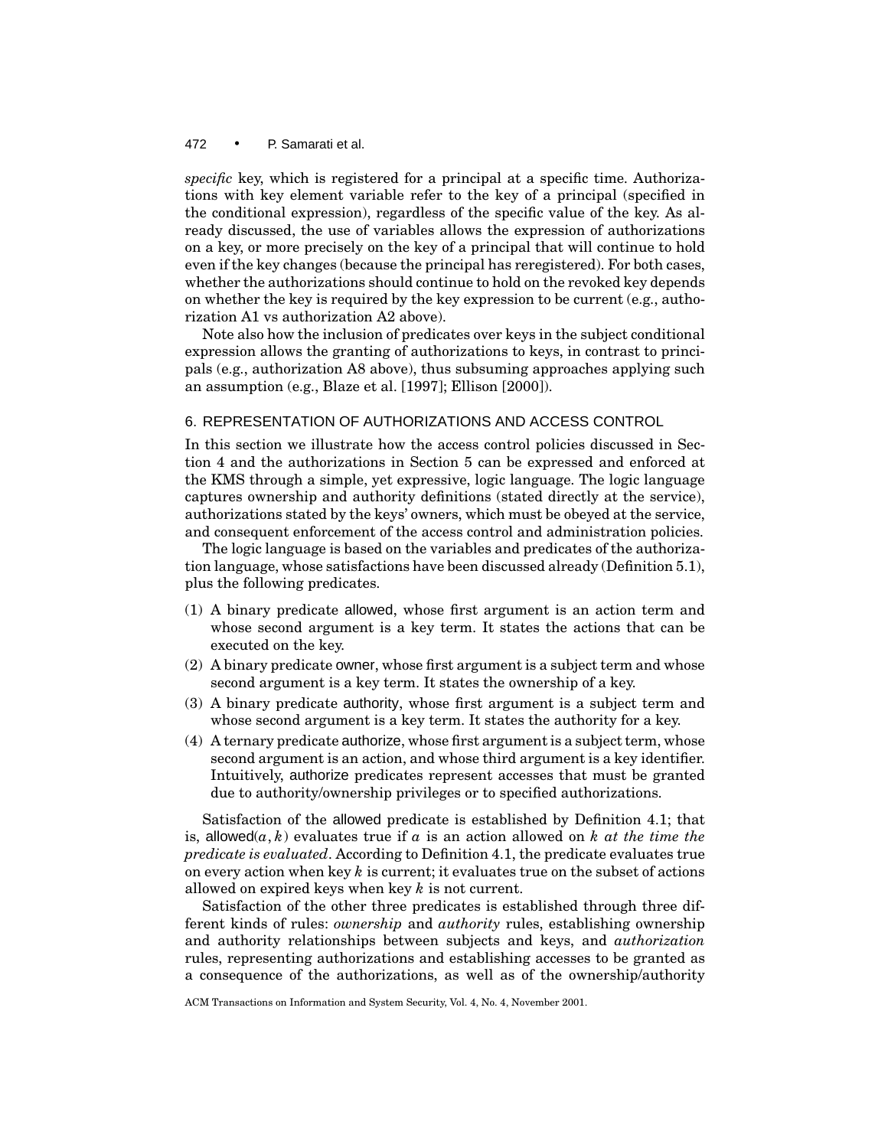*specific* key, which is registered for a principal at a specific time. Authorizations with key element variable refer to the key of a principal (specified in the conditional expression), regardless of the specific value of the key. As already discussed, the use of variables allows the expression of authorizations on a key, or more precisely on the key of a principal that will continue to hold even if the key changes (because the principal has reregistered). For both cases, whether the authorizations should continue to hold on the revoked key depends on whether the key is required by the key expression to be current (e.g., authorization A1 vs authorization A2 above).

Note also how the inclusion of predicates over keys in the subject conditional expression allows the granting of authorizations to keys, in contrast to principals (e.g., authorization A8 above), thus subsuming approaches applying such an assumption (e.g., Blaze et al. [1997]; Ellison [2000]).

## 6. REPRESENTATION OF AUTHORIZATIONS AND ACCESS CONTROL

In this section we illustrate how the access control policies discussed in Section 4 and the authorizations in Section 5 can be expressed and enforced at the KMS through a simple, yet expressive, logic language. The logic language captures ownership and authority definitions (stated directly at the service), authorizations stated by the keys' owners, which must be obeyed at the service, and consequent enforcement of the access control and administration policies.

The logic language is based on the variables and predicates of the authorization language, whose satisfactions have been discussed already (Definition 5.1), plus the following predicates.

- (1) A binary predicate allowed, whose first argument is an action term and whose second argument is a key term. It states the actions that can be executed on the key.
- (2) A binary predicate owner, whose first argument is a subject term and whose second argument is a key term. It states the ownership of a key.
- (3) A binary predicate authority, whose first argument is a subject term and whose second argument is a key term. It states the authority for a key.
- (4) A ternary predicate authorize, whose first argument is a subject term, whose second argument is an action, and whose third argument is a key identifier. Intuitively, authorize predicates represent accesses that must be granted due to authority/ownership privileges or to specified authorizations.

Satisfaction of the allowed predicate is established by Definition 4.1; that is, allowed( $a, k$ ) evaluates true if  $a$  is an action allowed on  $k$  at the time the *predicate is evaluated*. According to Definition 4.1, the predicate evaluates true on every action when key *k* is current; it evaluates true on the subset of actions allowed on expired keys when key *k* is not current.

Satisfaction of the other three predicates is established through three different kinds of rules: *ownership* and *authority* rules, establishing ownership and authority relationships between subjects and keys, and *authorization* rules, representing authorizations and establishing accesses to be granted as a consequence of the authorizations, as well as of the ownership/authority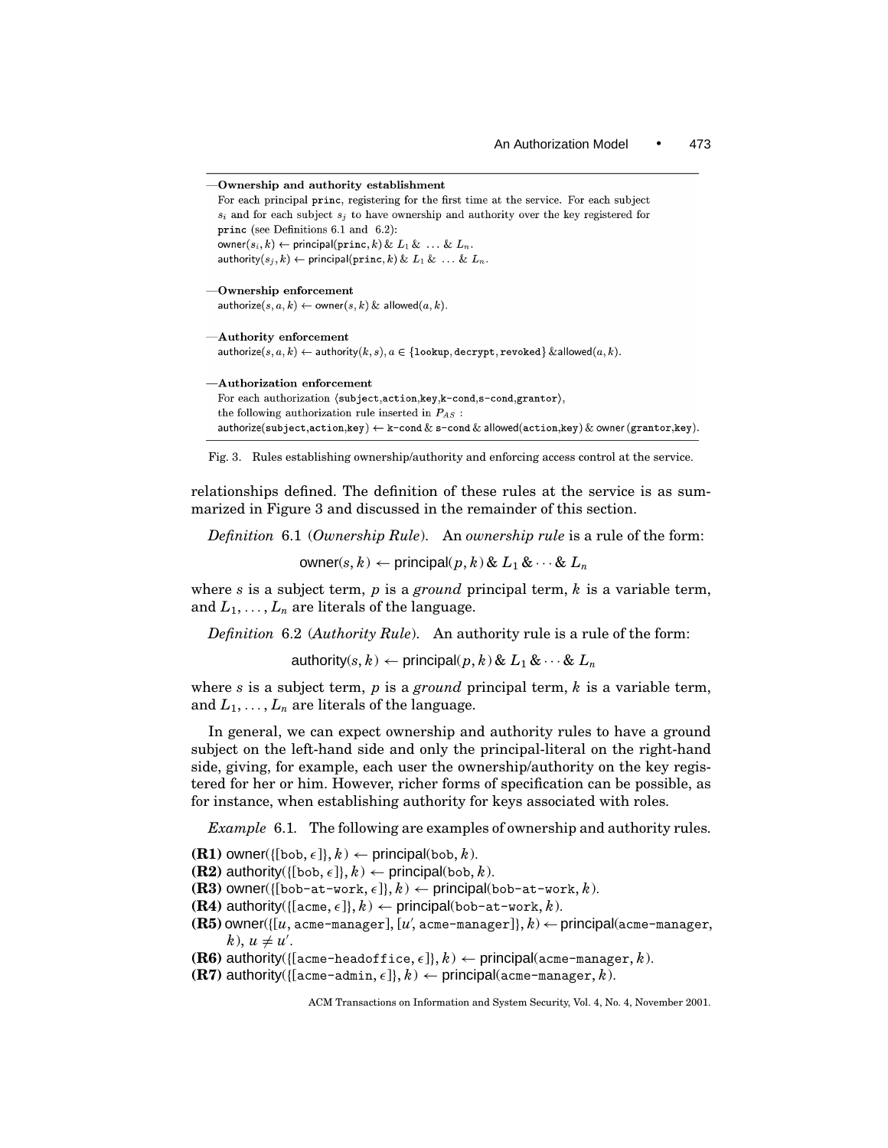```
Ownership and authority establishment
  For each principal princ, registering for the first time at the service. For each subject
  s_i and for each subject s_i to have ownership and authority over the key registered for
  princ (see Definitions 6.1 and 6.2):
  owner(s_i, k) \leftarrow principal(princ, k) & L_1 & ... & L_n.
  authority(s_j, k) \leftarrow principal(princ, k) & L_1 & ... & L_n.
-Ownership enforcement
  authorize(s, a, k) \leftarrow owner(s, k) & allowed(a, k).
-Authority enforcement
  \text{authorize}(s, a, k) \leftarrow \text{authority}(k, s), a \in \{\text{lookup}, \text{decrypt}, \text{revoked}\} & allowed(a, k).
-Authorization enforcement
  For each authorization (subject, action, key, k-cond, s-cond, grantor),
  the following authorization rule inserted in P_{AS}:
  authorize(subject,action, key) \leftarrow k-cond & s-cond & allowed(action, key) & owner (grantor, key).
```
Fig. 3. Rules establishing ownership/authority and enforcing access control at the service.

relationships defined. The definition of these rules at the service is as summarized in Figure 3 and discussed in the remainder of this section.

*Definition* 6.1 (*Ownership Rule*). An *ownership rule* is a rule of the form:

 $\text{owner}(s, k) \leftarrow \text{principal}(p, k) \& L_1 \& \cdots \& L_n$ 

where *s* is a subject term, *p* is a *ground* principal term, *k* is a variable term, and  $L_1, \ldots, L_n$  are literals of the language.

*Definition* 6.2 (*Authority Rule*). An authority rule is a rule of the form:

authority( $s, k$ )  $\leftarrow$  principal( $p, k$ ) &  $L_1$  &  $\cdots$  &  $L_n$ 

where *s* is a subject term, *p* is a *ground* principal term, *k* is a variable term, and  $L_1, \ldots, L_n$  are literals of the language.

In general, we can expect ownership and authority rules to have a ground subject on the left-hand side and only the principal-literal on the right-hand side, giving, for example, each user the ownership/authority on the key registered for her or him. However, richer forms of specification can be possible, as for instance, when establishing authority for keys associated with roles.

*Example* 6.1. The following are examples of ownership and authority rules.

**(R1)** owner({[bob,  $\epsilon$ ]},  $k$ )  $\leftarrow$  principal(bob,  $k$ ).

- **(R2)** authority({[bob,  $\epsilon$ ]},  $k$ )  $\leftarrow$  principal(bob,  $k$ ).
- **(R3)** owner({[bob-at-work,  $\epsilon$ ]},  $k$ )  $\leftarrow$  principal(bob-at-work,  $k$ ).
- **(R4)** authority( $\{[\text{acme}, \epsilon]\}, k$ )  $\leftarrow$  principal(bob-at-work, k).
- $\bf (R5)$  owner({[u, acme-manager], [u', acme-manager]},  $k$ )  $\leftarrow$  principal(acme-manager,  $k$ ,  $u \neq u'$ .
- **(R6)** authority({[acme-headoffice,  $\epsilon$ ]},  $k$ )  $\leftarrow$  principal(acme-manager,  $k$ ).
- **(R7)** authority({[acme-admin,  $\epsilon$ ]},  $k$ )  $\leftarrow$  principal(acme-manager,  $k$ ).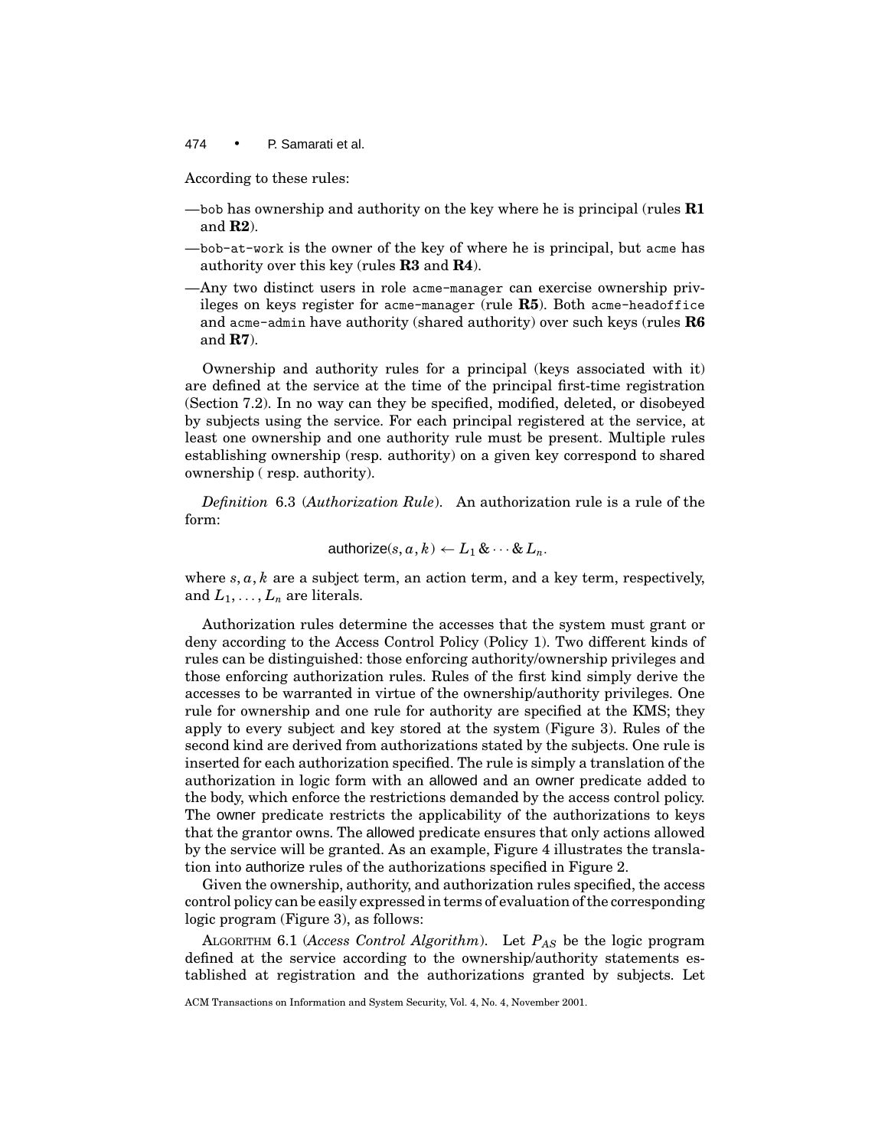According to these rules:

- —bob has ownership and authority on the key where he is principal (rules **R1** and **R2**).
- —bob-at-work is the owner of the key of where he is principal, but acme has authority over this key (rules **R3** and **R4**).
- —Any two distinct users in role acme-manager can exercise ownership privileges on keys register for acme-manager (rule **R5**). Both acme-headoffice and acme-admin have authority (shared authority) over such keys (rules **R6** and **R7**).

Ownership and authority rules for a principal (keys associated with it) are defined at the service at the time of the principal first-time registration (Section 7.2). In no way can they be specified, modified, deleted, or disobeyed by subjects using the service. For each principal registered at the service, at least one ownership and one authority rule must be present. Multiple rules establishing ownership (resp. authority) on a given key correspond to shared ownership ( resp. authority).

*Definition* 6.3 (*Authorization Rule*). An authorization rule is a rule of the form:

$$
\text{authorize}(s, a, k) \leftarrow L_1 \& \cdots \& L_n.
$$

where  $s, a, k$  are a subject term, an action term, and a key term, respectively, and  $L_1, \ldots, L_n$  are literals.

Authorization rules determine the accesses that the system must grant or deny according to the Access Control Policy (Policy 1). Two different kinds of rules can be distinguished: those enforcing authority/ownership privileges and those enforcing authorization rules. Rules of the first kind simply derive the accesses to be warranted in virtue of the ownership/authority privileges. One rule for ownership and one rule for authority are specified at the KMS; they apply to every subject and key stored at the system (Figure 3). Rules of the second kind are derived from authorizations stated by the subjects. One rule is inserted for each authorization specified. The rule is simply a translation of the authorization in logic form with an allowed and an owner predicate added to the body, which enforce the restrictions demanded by the access control policy. The owner predicate restricts the applicability of the authorizations to keys that the grantor owns. The allowed predicate ensures that only actions allowed by the service will be granted. As an example, Figure 4 illustrates the translation into authorize rules of the authorizations specified in Figure 2.

Given the ownership, authority, and authorization rules specified, the access control policy can be easily expressed in terms of evaluation of the corresponding logic program (Figure 3), as follows:

ALGORITHM 6.1 (*Access Control Algorithm*). Let *PAS* be the logic program defined at the service according to the ownership/authority statements established at registration and the authorizations granted by subjects. Let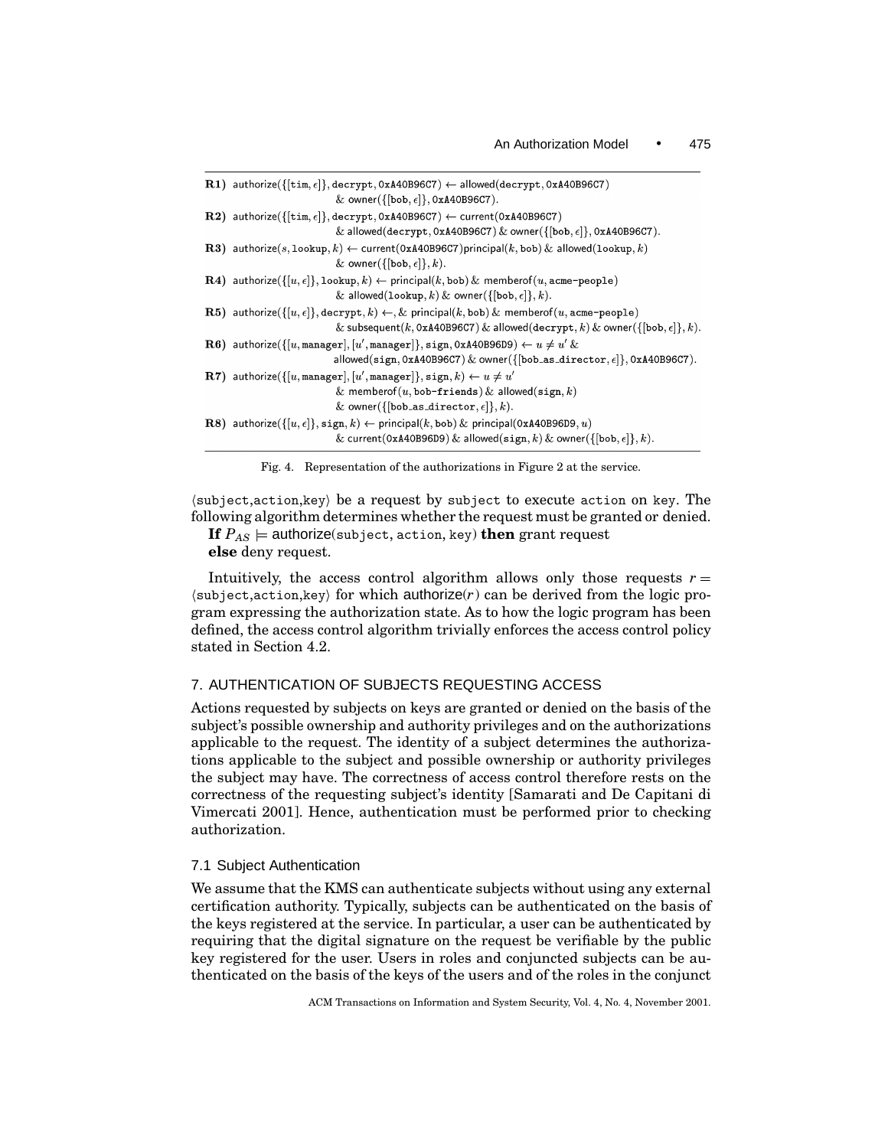| <b>R1)</b> authorize( $\{[\text{tim}, \epsilon]\}$ , decrypt, 0xA40B96C7) $\leftarrow$ allowed(decrypt, 0xA40B96C7)              |
|----------------------------------------------------------------------------------------------------------------------------------|
| & owner( $\{[\text{bob}, \epsilon]\},$ 0xA40B96C7).                                                                              |
| R2) authorize( $\{[\text{tim}, \epsilon]\}, \text{decrypt}, 0xA40B96C7) \leftarrow \text{current}(0xA40B96C7)$                   |
| & allowed(decrypt, 0xA40B96C7) & owner( $\{[\text{bob}, \epsilon]\},$ 0xA40B96C7).                                               |
| <b>R3)</b> authorize(s, lookup, k) $\leftarrow$ current(0xA40B96C7)principal(k, bob) & allowed(lookup, k)                        |
| & owner( $\{[\text{bob}, \epsilon]\}, k$ ).                                                                                      |
| R4) authorize( $\{[u, \epsilon]\},$ lookup, $k$ ) $\leftarrow$ principal( $k$ , bob) & memberof( $u$ , acme-people)              |
| & allowed(lookup, k) & owner( $\{[\text{bob}, \epsilon]\}, k$ ).                                                                 |
| <b>R5)</b> authorize( $\{[u, \epsilon]\}$ , decrypt, $k$ ) $\leftarrow$ , & principal( $k$ , bob) & memberof( $u$ , acme-people) |
| & subsequent(k, 0xA40B96C7) & allowed(decrypt, k) & owner( $\{[\text{bob}, \epsilon]\}, k$ ).                                    |
| <b>R6)</b> authorize({[u,manager], [u',manager]}, sign, 0xA40B96D9) $\leftarrow u \neq u' \&$                                    |
| allowed(sign, 0xA40B96C7) & owner({ $[bob\_as\_directory, \epsilon]$ }, 0xA40B96C7).                                             |
| <b>R7)</b> authorize({[u, manager], [u', manager]}, sign, $k$ ) $\leftarrow u \neq u'$                                           |
| & memberof( <i>u</i> , bob-friends) & allowed(sign, k)                                                                           |
| & owner({ $\{[\text{bob}\_ \text{as}\_ \text{directory}, \epsilon]\}, k$ ).                                                      |
| <b>R8)</b> authorize( $\{[u, \epsilon]\}, \text{sign}, k$ ) $\leftarrow$ principal(k, bob) & principal(0xA40B96D9, u)            |
| & current(0xA40B96D9) & allowed(sign, k) & owner( $\{[\text{bob}, \epsilon]\}, k$ ).                                             |

Fig. 4. Representation of the authorizations in Figure 2 at the service.

 $\langle \text{subject}, \text{action}, \text{key} \rangle$  be a request by subject to execute action on key. The following algorithm determines whether the request must be granted or denied. **If**  $P_{AS} \models$  authorize(subject, action, key) **then** grant request

**else** deny request.

Intuitively, the access control algorithm allows only those requests  $r =$  $\langle \text{subject}, \text{action}, \text{key} \rangle$  for which authorize( $r$ ) can be derived from the logic program expressing the authorization state. As to how the logic program has been defined, the access control algorithm trivially enforces the access control policy stated in Section 4.2.

## 7. AUTHENTICATION OF SUBJECTS REQUESTING ACCESS

Actions requested by subjects on keys are granted or denied on the basis of the subject's possible ownership and authority privileges and on the authorizations applicable to the request. The identity of a subject determines the authorizations applicable to the subject and possible ownership or authority privileges the subject may have. The correctness of access control therefore rests on the correctness of the requesting subject's identity [Samarati and De Capitani di Vimercati 2001]. Hence, authentication must be performed prior to checking authorization.

## 7.1 Subject Authentication

We assume that the KMS can authenticate subjects without using any external certification authority. Typically, subjects can be authenticated on the basis of the keys registered at the service. In particular, a user can be authenticated by requiring that the digital signature on the request be verifiable by the public key registered for the user. Users in roles and conjuncted subjects can be authenticated on the basis of the keys of the users and of the roles in the conjunct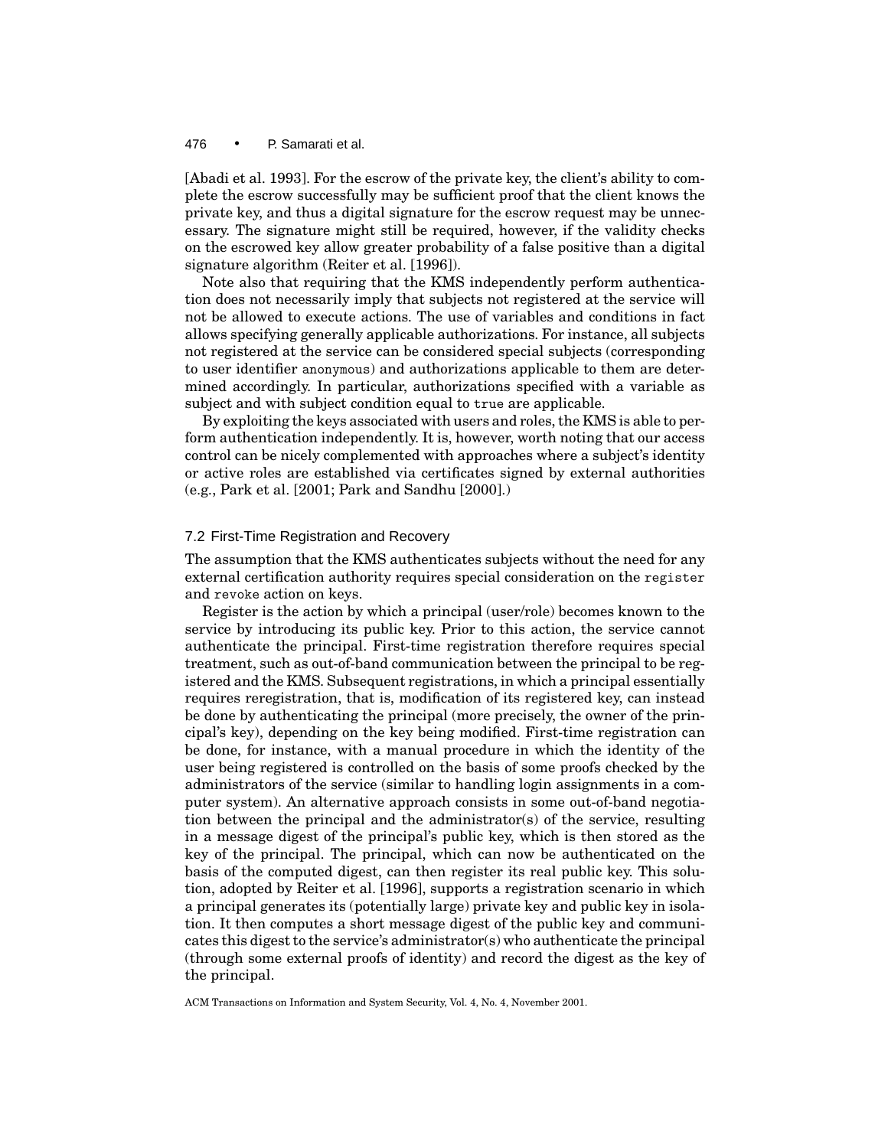[Abadi et al. 1993]. For the escrow of the private key, the client's ability to complete the escrow successfully may be sufficient proof that the client knows the private key, and thus a digital signature for the escrow request may be unnecessary. The signature might still be required, however, if the validity checks on the escrowed key allow greater probability of a false positive than a digital signature algorithm (Reiter et al. [1996]).

Note also that requiring that the KMS independently perform authentication does not necessarily imply that subjects not registered at the service will not be allowed to execute actions. The use of variables and conditions in fact allows specifying generally applicable authorizations. For instance, all subjects not registered at the service can be considered special subjects (corresponding to user identifier anonymous) and authorizations applicable to them are determined accordingly. In particular, authorizations specified with a variable as subject and with subject condition equal to true are applicable.

By exploiting the keys associated with users and roles, the KMS is able to perform authentication independently. It is, however, worth noting that our access control can be nicely complemented with approaches where a subject's identity or active roles are established via certificates signed by external authorities (e.g., Park et al. [2001; Park and Sandhu [2000].)

## 7.2 First-Time Registration and Recovery

The assumption that the KMS authenticates subjects without the need for any external certification authority requires special consideration on the register and revoke action on keys.

Register is the action by which a principal (user/role) becomes known to the service by introducing its public key. Prior to this action, the service cannot authenticate the principal. First-time registration therefore requires special treatment, such as out-of-band communication between the principal to be registered and the KMS. Subsequent registrations, in which a principal essentially requires reregistration, that is, modification of its registered key, can instead be done by authenticating the principal (more precisely, the owner of the principal's key), depending on the key being modified. First-time registration can be done, for instance, with a manual procedure in which the identity of the user being registered is controlled on the basis of some proofs checked by the administrators of the service (similar to handling login assignments in a computer system). An alternative approach consists in some out-of-band negotiation between the principal and the administrator(s) of the service, resulting in a message digest of the principal's public key, which is then stored as the key of the principal. The principal, which can now be authenticated on the basis of the computed digest, can then register its real public key. This solution, adopted by Reiter et al. [1996], supports a registration scenario in which a principal generates its (potentially large) private key and public key in isolation. It then computes a short message digest of the public key and communicates this digest to the service's administrator(s) who authenticate the principal (through some external proofs of identity) and record the digest as the key of the principal.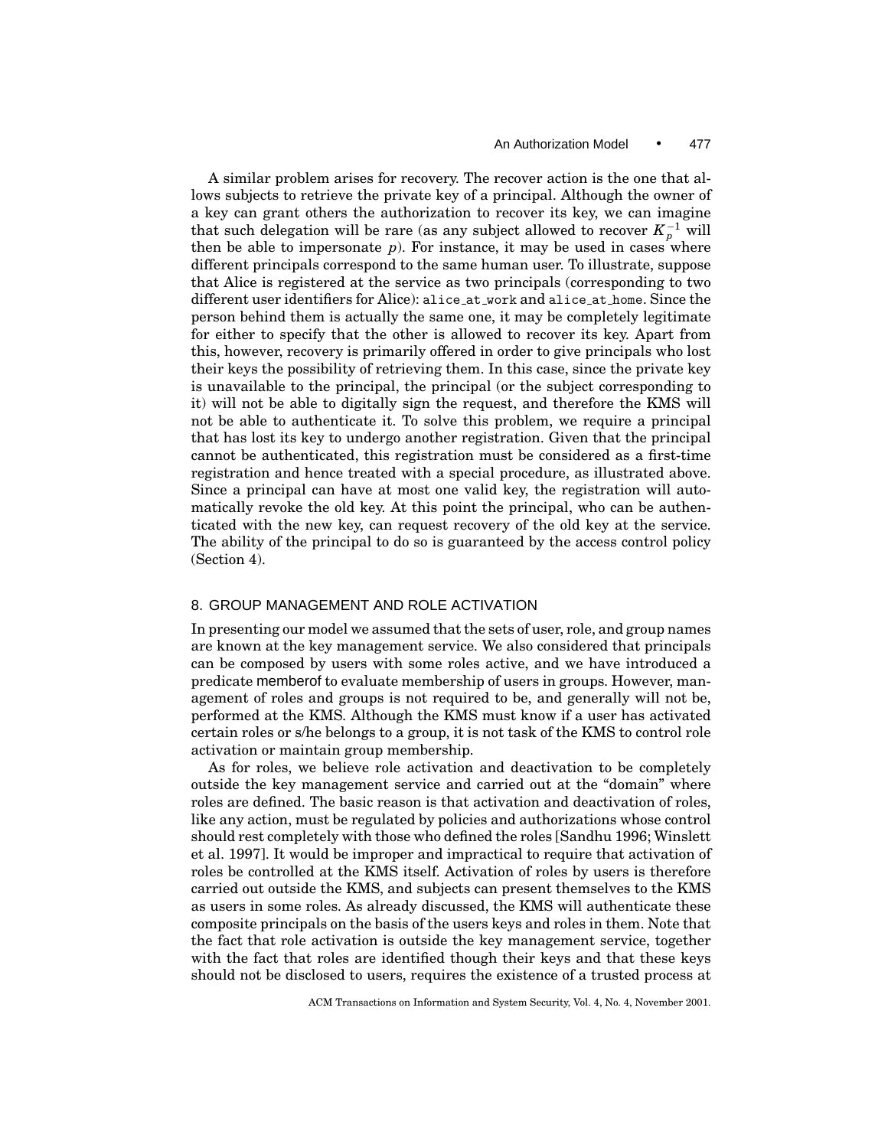## An Authorization Model • 477

A similar problem arises for recovery. The recover action is the one that allows subjects to retrieve the private key of a principal. Although the owner of a key can grant others the authorization to recover its key, we can imagine that such delegation will be rare (as any subject allowed to recover  $K_p^{-1}$  will then be able to impersonate  $p$ ). For instance, it may be used in cases where different principals correspond to the same human user. To illustrate, suppose that Alice is registered at the service as two principals (corresponding to two different user identifiers for Alice): alice\_at\_work and alice\_at\_home. Since the person behind them is actually the same one, it may be completely legitimate for either to specify that the other is allowed to recover its key. Apart from this, however, recovery is primarily offered in order to give principals who lost their keys the possibility of retrieving them. In this case, since the private key is unavailable to the principal, the principal (or the subject corresponding to it) will not be able to digitally sign the request, and therefore the KMS will not be able to authenticate it. To solve this problem, we require a principal that has lost its key to undergo another registration. Given that the principal cannot be authenticated, this registration must be considered as a first-time registration and hence treated with a special procedure, as illustrated above. Since a principal can have at most one valid key, the registration will automatically revoke the old key. At this point the principal, who can be authenticated with the new key, can request recovery of the old key at the service. The ability of the principal to do so is guaranteed by the access control policy (Section 4).

## 8. GROUP MANAGEMENT AND ROLE ACTIVATION

In presenting our model we assumed that the sets of user, role, and group names are known at the key management service. We also considered that principals can be composed by users with some roles active, and we have introduced a predicate memberof to evaluate membership of users in groups. However, management of roles and groups is not required to be, and generally will not be, performed at the KMS. Although the KMS must know if a user has activated certain roles or s/he belongs to a group, it is not task of the KMS to control role activation or maintain group membership.

As for roles, we believe role activation and deactivation to be completely outside the key management service and carried out at the "domain" where roles are defined. The basic reason is that activation and deactivation of roles, like any action, must be regulated by policies and authorizations whose control should rest completely with those who defined the roles [Sandhu 1996; Winslett et al. 1997]. It would be improper and impractical to require that activation of roles be controlled at the KMS itself. Activation of roles by users is therefore carried out outside the KMS, and subjects can present themselves to the KMS as users in some roles. As already discussed, the KMS will authenticate these composite principals on the basis of the users keys and roles in them. Note that the fact that role activation is outside the key management service, together with the fact that roles are identified though their keys and that these keys should not be disclosed to users, requires the existence of a trusted process at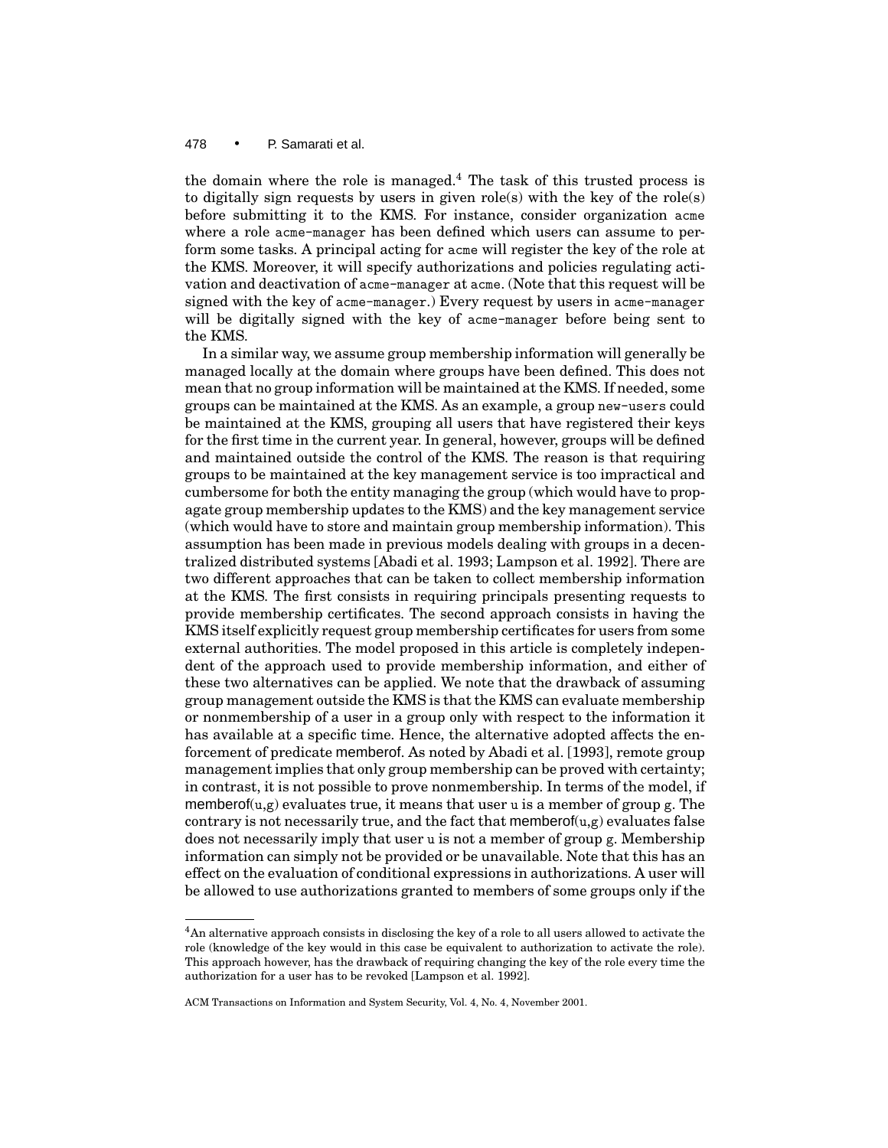the domain where the role is managed.<sup>4</sup> The task of this trusted process is to digitally sign requests by users in given role(s) with the key of the role(s) before submitting it to the KMS. For instance, consider organization acme where a role acme-manager has been defined which users can assume to perform some tasks. A principal acting for acme will register the key of the role at the KMS. Moreover, it will specify authorizations and policies regulating activation and deactivation of acme-manager at acme. (Note that this request will be signed with the key of acme-manager.) Every request by users in acme-manager will be digitally signed with the key of acme-manager before being sent to the KMS.

In a similar way, we assume group membership information will generally be managed locally at the domain where groups have been defined. This does not mean that no group information will be maintained at the KMS. If needed, some groups can be maintained at the KMS. As an example, a group new-users could be maintained at the KMS, grouping all users that have registered their keys for the first time in the current year. In general, however, groups will be defined and maintained outside the control of the KMS. The reason is that requiring groups to be maintained at the key management service is too impractical and cumbersome for both the entity managing the group (which would have to propagate group membership updates to the KMS) and the key management service (which would have to store and maintain group membership information). This assumption has been made in previous models dealing with groups in a decentralized distributed systems [Abadi et al. 1993; Lampson et al. 1992]. There are two different approaches that can be taken to collect membership information at the KMS. The first consists in requiring principals presenting requests to provide membership certificates. The second approach consists in having the KMS itself explicitly request group membership certificates for users from some external authorities. The model proposed in this article is completely independent of the approach used to provide membership information, and either of these two alternatives can be applied. We note that the drawback of assuming group management outside the KMS is that the KMS can evaluate membership or nonmembership of a user in a group only with respect to the information it has available at a specific time. Hence, the alternative adopted affects the enforcement of predicate memberof. As noted by Abadi et al. [1993], remote group management implies that only group membership can be proved with certainty; in contrast, it is not possible to prove nonmembership. In terms of the model, if memberof $(u,g)$  evaluates true, it means that user u is a member of group g. The contrary is not necessarily true, and the fact that memberof $(u,g)$  evaluates false does not necessarily imply that user u is not a member of group g. Membership information can simply not be provided or be unavailable. Note that this has an effect on the evaluation of conditional expressions in authorizations. A user will be allowed to use authorizations granted to members of some groups only if the

<sup>4</sup>An alternative approach consists in disclosing the key of a role to all users allowed to activate the role (knowledge of the key would in this case be equivalent to authorization to activate the role). This approach however, has the drawback of requiring changing the key of the role every time the authorization for a user has to be revoked [Lampson et al. 1992].

ACM Transactions on Information and System Security, Vol. 4, No. 4, November 2001.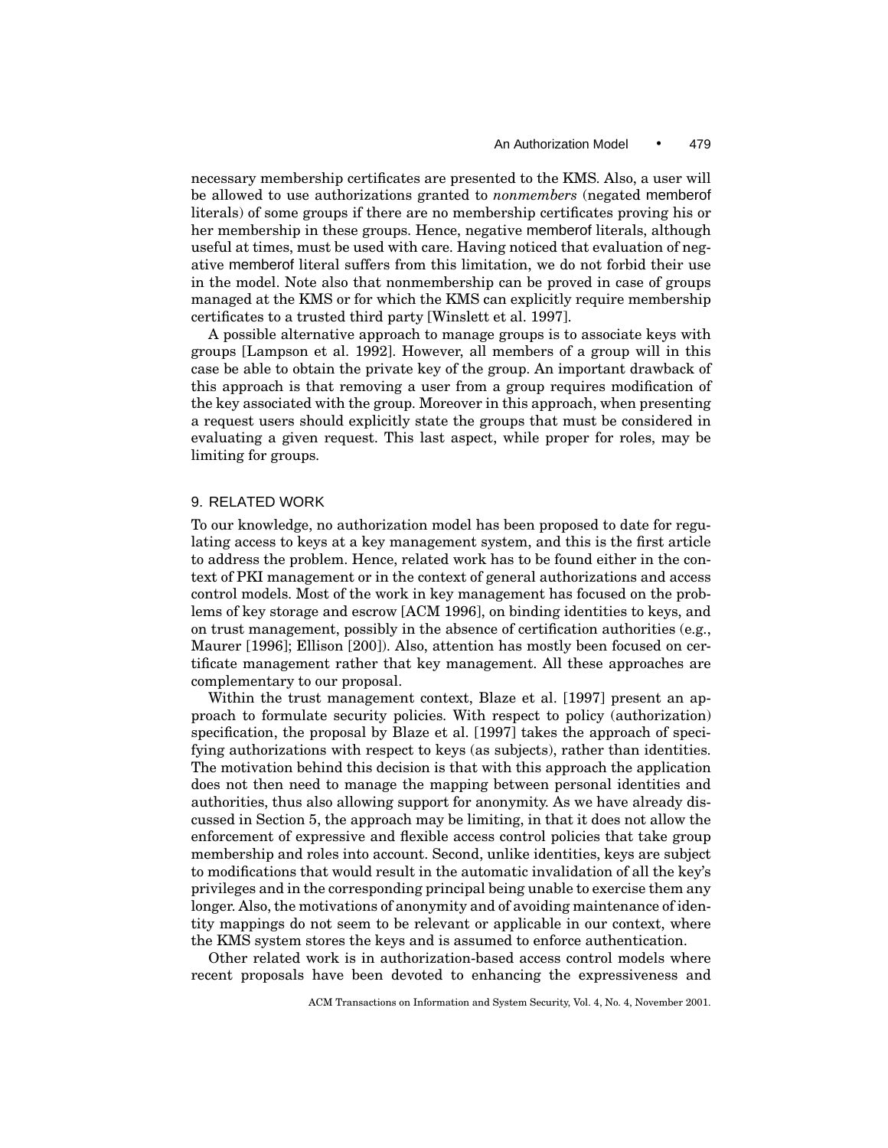## An Authorization Model • 479

necessary membership certificates are presented to the KMS. Also, a user will be allowed to use authorizations granted to *nonmembers* (negated memberof literals) of some groups if there are no membership certificates proving his or her membership in these groups. Hence, negative memberof literals, although useful at times, must be used with care. Having noticed that evaluation of negative memberof literal suffers from this limitation, we do not forbid their use in the model. Note also that nonmembership can be proved in case of groups managed at the KMS or for which the KMS can explicitly require membership certificates to a trusted third party [Winslett et al. 1997].

A possible alternative approach to manage groups is to associate keys with groups [Lampson et al. 1992]. However, all members of a group will in this case be able to obtain the private key of the group. An important drawback of this approach is that removing a user from a group requires modification of the key associated with the group. Moreover in this approach, when presenting a request users should explicitly state the groups that must be considered in evaluating a given request. This last aspect, while proper for roles, may be limiting for groups.

## 9. RELATED WORK

To our knowledge, no authorization model has been proposed to date for regulating access to keys at a key management system, and this is the first article to address the problem. Hence, related work has to be found either in the context of PKI management or in the context of general authorizations and access control models. Most of the work in key management has focused on the problems of key storage and escrow [ACM 1996], on binding identities to keys, and on trust management, possibly in the absence of certification authorities (e.g., Maurer [1996]; Ellison [200]). Also, attention has mostly been focused on certificate management rather that key management. All these approaches are complementary to our proposal.

Within the trust management context, Blaze et al. [1997] present an approach to formulate security policies. With respect to policy (authorization) specification, the proposal by Blaze et al. [1997] takes the approach of specifying authorizations with respect to keys (as subjects), rather than identities. The motivation behind this decision is that with this approach the application does not then need to manage the mapping between personal identities and authorities, thus also allowing support for anonymity. As we have already discussed in Section 5, the approach may be limiting, in that it does not allow the enforcement of expressive and flexible access control policies that take group membership and roles into account. Second, unlike identities, keys are subject to modifications that would result in the automatic invalidation of all the key's privileges and in the corresponding principal being unable to exercise them any longer. Also, the motivations of anonymity and of avoiding maintenance of identity mappings do not seem to be relevant or applicable in our context, where the KMS system stores the keys and is assumed to enforce authentication.

Other related work is in authorization-based access control models where recent proposals have been devoted to enhancing the expressiveness and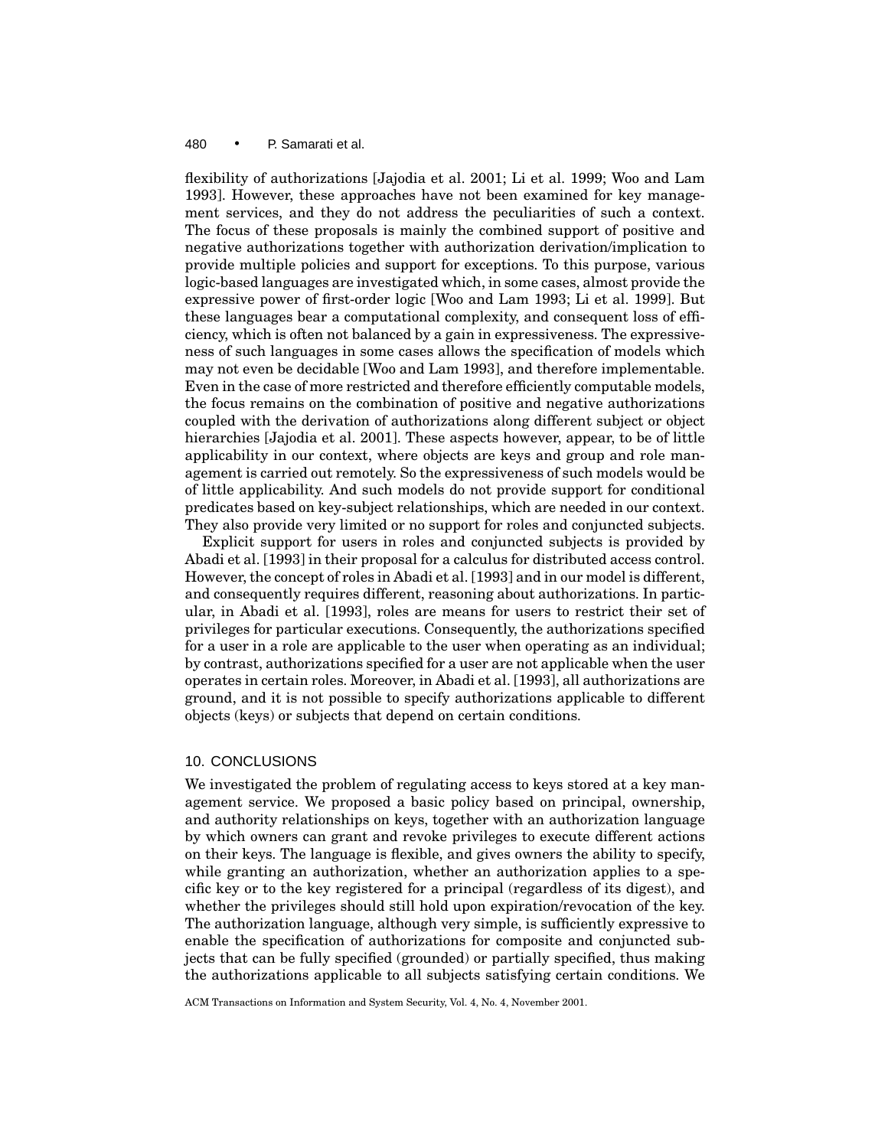flexibility of authorizations [Jajodia et al. 2001; Li et al. 1999; Woo and Lam 1993]. However, these approaches have not been examined for key management services, and they do not address the peculiarities of such a context. The focus of these proposals is mainly the combined support of positive and negative authorizations together with authorization derivation/implication to provide multiple policies and support for exceptions. To this purpose, various logic-based languages are investigated which, in some cases, almost provide the expressive power of first-order logic [Woo and Lam 1993; Li et al. 1999]. But these languages bear a computational complexity, and consequent loss of efficiency, which is often not balanced by a gain in expressiveness. The expressiveness of such languages in some cases allows the specification of models which may not even be decidable [Woo and Lam 1993], and therefore implementable. Even in the case of more restricted and therefore efficiently computable models, the focus remains on the combination of positive and negative authorizations coupled with the derivation of authorizations along different subject or object hierarchies [Jajodia et al. 2001]. These aspects however, appear, to be of little applicability in our context, where objects are keys and group and role management is carried out remotely. So the expressiveness of such models would be of little applicability. And such models do not provide support for conditional predicates based on key-subject relationships, which are needed in our context. They also provide very limited or no support for roles and conjuncted subjects.

Explicit support for users in roles and conjuncted subjects is provided by Abadi et al. [1993] in their proposal for a calculus for distributed access control. However, the concept of roles in Abadi et al. [1993] and in our model is different, and consequently requires different, reasoning about authorizations. In particular, in Abadi et al. [1993], roles are means for users to restrict their set of privileges for particular executions. Consequently, the authorizations specified for a user in a role are applicable to the user when operating as an individual; by contrast, authorizations specified for a user are not applicable when the user operates in certain roles. Moreover, in Abadi et al. [1993], all authorizations are ground, and it is not possible to specify authorizations applicable to different objects (keys) or subjects that depend on certain conditions.

## 10. CONCLUSIONS

We investigated the problem of regulating access to keys stored at a key management service. We proposed a basic policy based on principal, ownership, and authority relationships on keys, together with an authorization language by which owners can grant and revoke privileges to execute different actions on their keys. The language is flexible, and gives owners the ability to specify, while granting an authorization, whether an authorization applies to a specific key or to the key registered for a principal (regardless of its digest), and whether the privileges should still hold upon expiration/revocation of the key. The authorization language, although very simple, is sufficiently expressive to enable the specification of authorizations for composite and conjuncted subjects that can be fully specified (grounded) or partially specified, thus making the authorizations applicable to all subjects satisfying certain conditions. We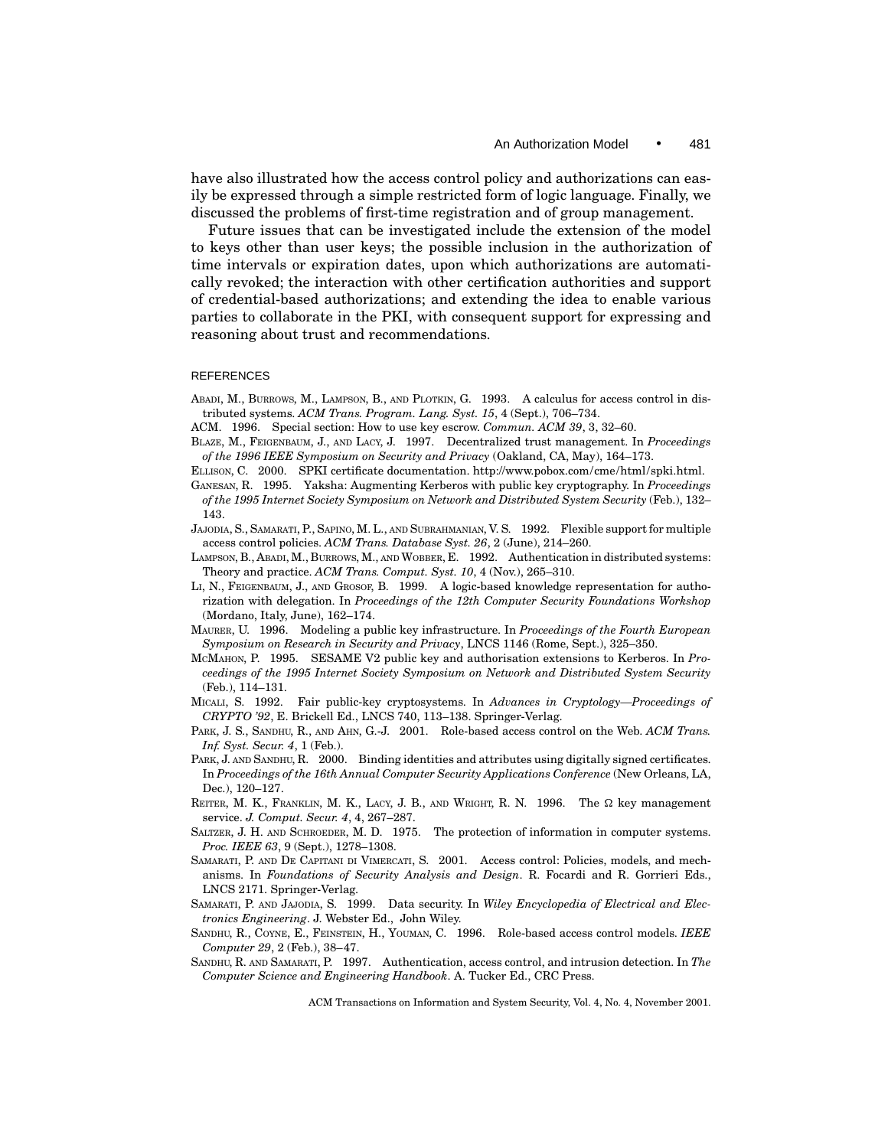#### An Authorization Model • 481

have also illustrated how the access control policy and authorizations can easily be expressed through a simple restricted form of logic language. Finally, we discussed the problems of first-time registration and of group management.

Future issues that can be investigated include the extension of the model to keys other than user keys; the possible inclusion in the authorization of time intervals or expiration dates, upon which authorizations are automatically revoked; the interaction with other certification authorities and support of credential-based authorizations; and extending the idea to enable various parties to collaborate in the PKI, with consequent support for expressing and reasoning about trust and recommendations.

## **REFERENCES**

- ABADI, M., BURROWS, M., LAMPSON, B., AND PLOTKIN, G. 1993. A calculus for access control in distributed systems. *ACM Trans. Program. Lang. Syst. 15*, 4 (Sept.), 706–734.
- ACM. 1996. Special section: How to use key escrow. *Commun. ACM 39*, 3, 32–60.
- BLAZE, M., FEIGENBAUM, J., AND LACY, J. 1997. Decentralized trust management. In *Proceedings of the 1996 IEEE Symposium on Security and Privacy* (Oakland, CA, May), 164–173.
- ELLISON, C. 2000. SPKI certificate documentation. http://www.pobox.com/cme/html/spki.html. GANESAN, R. 1995. Yaksha: Augmenting Kerberos with public key cryptography. In *Proceedings of the 1995 Internet Society Symposium on Network and Distributed System Security* (Feb.), 132– 143.
- JAJODIA, S., SAMARATI, P., SAPINO, M. L., AND SUBRAHMANIAN, V. S. 1992. Flexible support for multiple access control policies. *ACM Trans. Database Syst. 26*, 2 (June), 214–260.
- LAMPSON, B., ABADI, M., BURROWS, M., AND WOBBER, E. 1992. Authentication in distributed systems: Theory and practice. *ACM Trans. Comput. Syst. 10*, 4 (Nov.), 265–310.
- LI, N., FEIGENBAUM, J., AND GROSOF, B. 1999. A logic-based knowledge representation for authorization with delegation. In *Proceedings of the 12th Computer Security Foundations Workshop* (Mordano, Italy, June), 162–174.
- MAURER, U. 1996. Modeling a public key infrastructure. In *Proceedings of the Fourth European Symposium on Research in Security and Privacy*, LNCS 1146 (Rome, Sept.), 325–350.
- MCMAHON, P. 1995. SESAME V2 public key and authorisation extensions to Kerberos. In *Proceedings of the 1995 Internet Society Symposium on Network and Distributed System Security* (Feb.), 114–131.
- MICALI, S. 1992. Fair public-key cryptosystems. In *Advances in Cryptology—Proceedings of CRYPTO '92*, E. Brickell Ed., LNCS 740, 113–138. Springer-Verlag.
- PARK, J. S., SANDHU, R., AND AHN, G.-J. 2001. Role-based access control on the Web. *ACM Trans. Inf. Syst. Secur. 4*, 1 (Feb.).
- PARK, J. AND SANDHU, R. 2000. Binding identities and attributes using digitally signed certificates. In *Proceedings of the 16th Annual Computer Security Applications Conference* (New Orleans, LA, Dec.), 120–127.
- REITER, M. K., FRANKLIN, M. K., LACY, J. B., AND WRIGHT, R. N. 1996. The  $\Omega$  key management service. *J. Comput. Secur. 4*, 4, 267–287.
- SALTZER, J. H. AND SCHROEDER, M. D. 1975. The protection of information in computer systems. *Proc. IEEE 63*, 9 (Sept.), 1278–1308.
- SAMARATI, P. AND DE CAPITANI DI VIMERCATI, S. 2001. Access control: Policies, models, and mechanisms. In *Foundations of Security Analysis and Design*. R. Focardi and R. Gorrieri Eds., LNCS 2171. Springer-Verlag.
- SAMARATI, P. AND JAJODIA, S. 1999. Data security. In *Wiley Encyclopedia of Electrical and Electronics Engineering*. J. Webster Ed., John Wiley.
- SANDHU, R., COYNE, E., FEINSTEIN, H., YOUMAN, C. 1996. Role-based access control models. *IEEE Computer 29*, 2 (Feb.), 38–47.
- SANDHU, R. AND SAMARATI, P. 1997. Authentication, access control, and intrusion detection. In *The Computer Science and Engineering Handbook*. A. Tucker Ed., CRC Press.